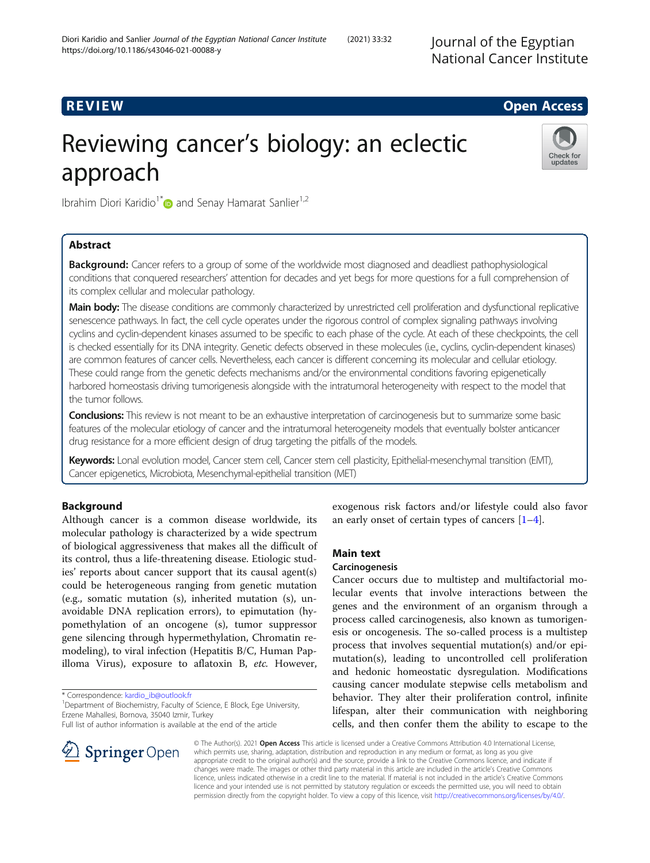Journal of the Egyptian

# R EVI EW Open Access

# Reviewing cancer's biology: an eclectic approach



Ibrahim Diori Karidio<sup>1\*</sup> and Senay Hamarat Sanlier<sup>1,2</sup>

# Abstract

**Background:** Cancer refers to a group of some of the worldwide most diagnosed and deadliest pathophysiological conditions that conquered researchers' attention for decades and yet begs for more questions for a full comprehension of its complex cellular and molecular pathology.

Main body: The disease conditions are commonly characterized by unrestricted cell proliferation and dysfunctional replicative senescence pathways. In fact, the cell cycle operates under the rigorous control of complex signaling pathways involving cyclins and cyclin-dependent kinases assumed to be specific to each phase of the cycle. At each of these checkpoints, the cell is checked essentially for its DNA integrity. Genetic defects observed in these molecules (i.e., cyclins, cyclin-dependent kinases) are common features of cancer cells. Nevertheless, each cancer is different concerning its molecular and cellular etiology. These could range from the genetic defects mechanisms and/or the environmental conditions favoring epigenetically harbored homeostasis driving tumorigenesis alongside with the intratumoral heterogeneity with respect to the model that the tumor follows.

Conclusions: This review is not meant to be an exhaustive interpretation of carcinogenesis but to summarize some basic features of the molecular etiology of cancer and the intratumoral heterogeneity models that eventually bolster anticancer drug resistance for a more efficient design of drug targeting the pitfalls of the models.

Keywords: Lonal evolution model, Cancer stem cell, Cancer stem cell plasticity, Epithelial-mesenchymal transition (EMT), Cancer epigenetics, Microbiota, Mesenchymal-epithelial transition (MET)

## Background

Although cancer is a common disease worldwide, its molecular pathology is characterized by a wide spectrum of biological aggressiveness that makes all the difficult of its control, thus a life-threatening disease. Etiologic studies' reports about cancer support that its causal agent(s) could be heterogeneous ranging from genetic mutation (e.g., somatic mutation (s), inherited mutation (s), unavoidable DNA replication errors), to epimutation (hypomethylation of an oncogene (s), tumor suppressor gene silencing through hypermethylation, Chromatin remodeling), to viral infection (Hepatitis B/C, Human Papilloma Virus), exposure to aflatoxin B, etc. However,

\* Correspondence: [kardio\\_ib@outlook.fr](mailto:kardio_ib@outlook.fr) <sup>1</sup>

<sup>1</sup> Department of Biochemistry, Faculty of Science, E Block, Ege University, Erzene Mahallesi, Bornova, 35040 Izmir, Turkey

Full list of author information is available at the end of the article



exogenous risk factors and/or lifestyle could also favor an early onset of certain types of cancers  $[1-4]$  $[1-4]$  $[1-4]$  $[1-4]$ .

#### Main text

#### Carcinogenesis

Cancer occurs due to multistep and multifactorial molecular events that involve interactions between the genes and the environment of an organism through a process called carcinogenesis, also known as tumorigenesis or oncogenesis. The so-called process is a multistep process that involves sequential mutation(s) and/or epimutation(s), leading to uncontrolled cell proliferation and hedonic homeostatic dysregulation. Modifications causing cancer modulate stepwise cells metabolism and behavior. They alter their proliferation control, infinite lifespan, alter their communication with neighboring cells, and then confer them the ability to escape to the

© The Author(s). 2021 Open Access This article is licensed under a Creative Commons Attribution 4.0 International License, which permits use, sharing, adaptation, distribution and reproduction in any medium or format, as long as you give appropriate credit to the original author(s) and the source, provide a link to the Creative Commons licence, and indicate if changes were made. The images or other third party material in this article are included in the article's Creative Commons licence, unless indicated otherwise in a credit line to the material. If material is not included in the article's Creative Commons licence and your intended use is not permitted by statutory regulation or exceeds the permitted use, you will need to obtain permission directly from the copyright holder. To view a copy of this licence, visit <http://creativecommons.org/licenses/by/4.0/>.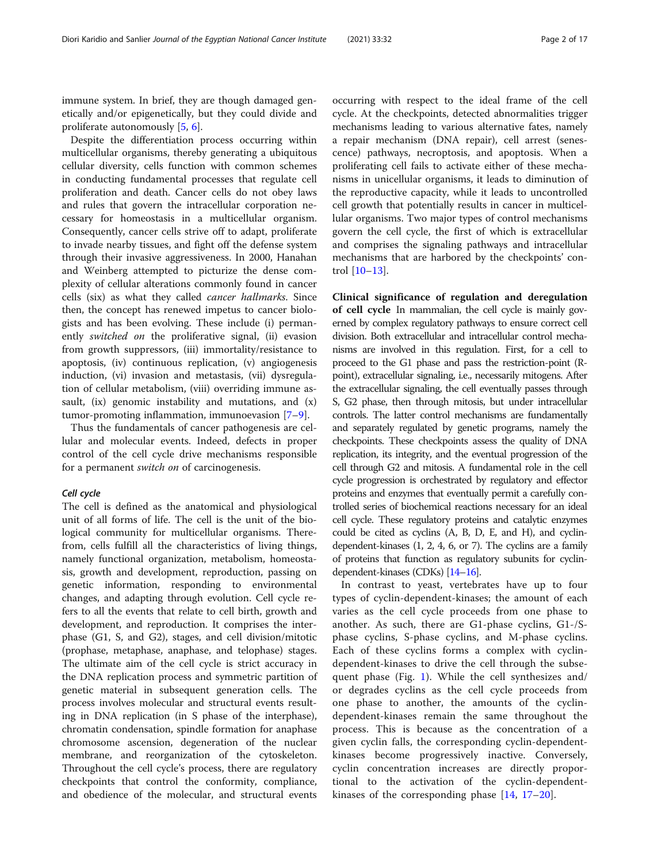immune system. In brief, they are though damaged genetically and/or epigenetically, but they could divide and proliferate autonomously [[5,](#page-12-0) [6\]](#page-12-0).

Despite the differentiation process occurring within multicellular organisms, thereby generating a ubiquitous cellular diversity, cells function with common schemes in conducting fundamental processes that regulate cell proliferation and death. Cancer cells do not obey laws and rules that govern the intracellular corporation necessary for homeostasis in a multicellular organism. Consequently, cancer cells strive off to adapt, proliferate to invade nearby tissues, and fight off the defense system through their invasive aggressiveness. In 2000, Hanahan and Weinberg attempted to picturize the dense complexity of cellular alterations commonly found in cancer cells (six) as what they called cancer hallmarks. Since then, the concept has renewed impetus to cancer biologists and has been evolving. These include (i) permanently *switched on* the proliferative signal, (ii) evasion from growth suppressors, (iii) immortality/resistance to apoptosis, (iv) continuous replication, (v) angiogenesis induction, (vi) invasion and metastasis, (vii) dysregulation of cellular metabolism, (viii) overriding immune assault, (ix) genomic instability and mutations, and (x) tumor-promoting inflammation, immunoevasion [[7](#page-12-0)–[9\]](#page-12-0).

Thus the fundamentals of cancer pathogenesis are cellular and molecular events. Indeed, defects in proper control of the cell cycle drive mechanisms responsible for a permanent switch on of carcinogenesis.

#### Cell cycle

The cell is defined as the anatomical and physiological unit of all forms of life. The cell is the unit of the biological community for multicellular organisms. Therefrom, cells fulfill all the characteristics of living things, namely functional organization, metabolism, homeostasis, growth and development, reproduction, passing on genetic information, responding to environmental changes, and adapting through evolution. Cell cycle refers to all the events that relate to cell birth, growth and development, and reproduction. It comprises the interphase (G1, S, and G2), stages, and cell division/mitotic (prophase, metaphase, anaphase, and telophase) stages. The ultimate aim of the cell cycle is strict accuracy in the DNA replication process and symmetric partition of genetic material in subsequent generation cells. The process involves molecular and structural events resulting in DNA replication (in S phase of the interphase), chromatin condensation, spindle formation for anaphase chromosome ascension, degeneration of the nuclear membrane, and reorganization of the cytoskeleton. Throughout the cell cycle's process, there are regulatory checkpoints that control the conformity, compliance, and obedience of the molecular, and structural events

occurring with respect to the ideal frame of the cell cycle. At the checkpoints, detected abnormalities trigger mechanisms leading to various alternative fates, namely a repair mechanism (DNA repair), cell arrest (senescence) pathways, necroptosis, and apoptosis. When a proliferating cell fails to activate either of these mechanisms in unicellular organisms, it leads to diminution of the reproductive capacity, while it leads to uncontrolled cell growth that potentially results in cancer in multicellular organisms. Two major types of control mechanisms govern the cell cycle, the first of which is extracellular and comprises the signaling pathways and intracellular mechanisms that are harbored by the checkpoints' control [\[10](#page-12-0)–[13\]](#page-13-0).

Clinical significance of regulation and deregulation of cell cycle In mammalian, the cell cycle is mainly governed by complex regulatory pathways to ensure correct cell division. Both extracellular and intracellular control mechanisms are involved in this regulation. First, for a cell to proceed to the G1 phase and pass the restriction-point (Rpoint), extracellular signaling, i.e., necessarily mitogens. After the extracellular signaling, the cell eventually passes through S, G2 phase, then through mitosis, but under intracellular controls. The latter control mechanisms are fundamentally and separately regulated by genetic programs, namely the checkpoints. These checkpoints assess the quality of DNA replication, its integrity, and the eventual progression of the cell through G2 and mitosis. A fundamental role in the cell cycle progression is orchestrated by regulatory and effector proteins and enzymes that eventually permit a carefully controlled series of biochemical reactions necessary for an ideal cell cycle. These regulatory proteins and catalytic enzymes could be cited as cyclins (A, B, D, E, and H), and cyclindependent-kinases (1, 2, 4, 6, or 7). The cyclins are a family of proteins that function as regulatory subunits for cyclindependent-kinases (CDKs) [\[14](#page-13-0)–[16](#page-13-0)].

In contrast to yeast, vertebrates have up to four types of cyclin-dependent-kinases; the amount of each varies as the cell cycle proceeds from one phase to another. As such, there are G1-phase cyclins, G1-/Sphase cyclins, S-phase cyclins, and M-phase cyclins. Each of these cyclins forms a complex with cyclindependent-kinases to drive the cell through the subsequent phase (Fig. [1](#page-2-0)). While the cell synthesizes and/ or degrades cyclins as the cell cycle proceeds from one phase to another, the amounts of the cyclindependent-kinases remain the same throughout the process. This is because as the concentration of a given cyclin falls, the corresponding cyclin-dependentkinases become progressively inactive. Conversely, cyclin concentration increases are directly proportional to the activation of the cyclin-dependentkinases of the corresponding phase [\[14](#page-13-0), [17](#page-13-0)–[20](#page-13-0)].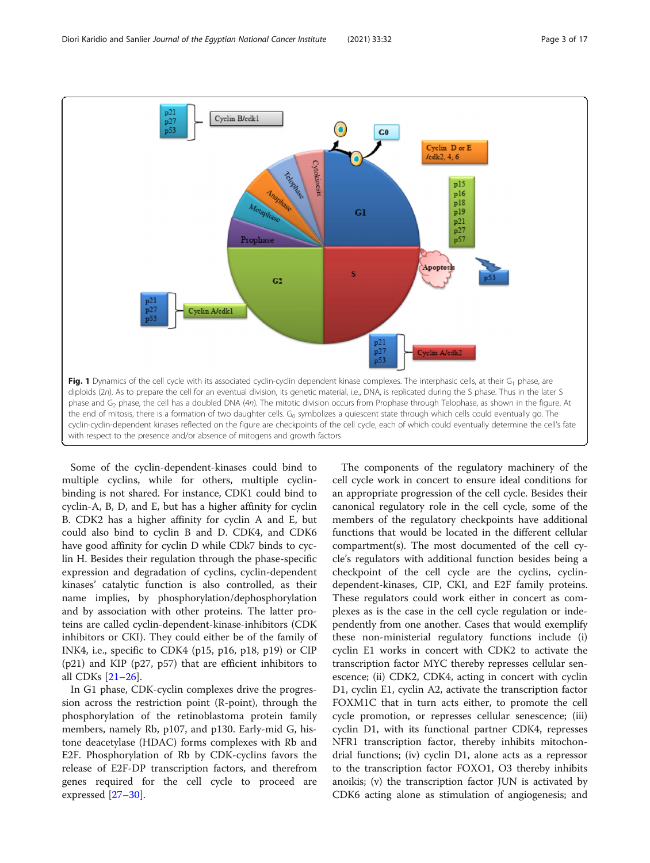<span id="page-2-0"></span>

Some of the cyclin-dependent-kinases could bind to multiple cyclins, while for others, multiple cyclinbinding is not shared. For instance, CDK1 could bind to cyclin-A, B, D, and E, but has a higher affinity for cyclin B. CDK2 has a higher affinity for cyclin A and E, but could also bind to cyclin B and D. CDK4, and CDK6 have good affinity for cyclin D while CDk7 binds to cyclin H. Besides their regulation through the phase-specific expression and degradation of cyclins, cyclin-dependent kinases' catalytic function is also controlled, as their name implies, by phosphorylation/dephosphorylation and by association with other proteins. The latter proteins are called cyclin-dependent-kinase-inhibitors (CDK inhibitors or CKI). They could either be of the family of INK4, i.e., specific to CDK4 (p15, p16, p18, p19) or CIP (p21) and KIP (p27, p57) that are efficient inhibitors to all CDKs [\[21](#page-13-0)–[26\]](#page-13-0).

In G1 phase, CDK-cyclin complexes drive the progression across the restriction point (R-point), through the phosphorylation of the retinoblastoma protein family members, namely Rb, p107, and p130. Early-mid G, histone deacetylase (HDAC) forms complexes with Rb and E2F. Phosphorylation of Rb by CDK-cyclins favors the release of E2F-DP transcription factors, and therefrom genes required for the cell cycle to proceed are expressed [[27](#page-13-0)–[30](#page-13-0)].

The components of the regulatory machinery of the cell cycle work in concert to ensure ideal conditions for an appropriate progression of the cell cycle. Besides their canonical regulatory role in the cell cycle, some of the members of the regulatory checkpoints have additional functions that would be located in the different cellular compartment(s). The most documented of the cell cycle's regulators with additional function besides being a checkpoint of the cell cycle are the cyclins, cyclindependent-kinases, CIP, CKI, and E2F family proteins. These regulators could work either in concert as complexes as is the case in the cell cycle regulation or independently from one another. Cases that would exemplify these non-ministerial regulatory functions include (i) cyclin E1 works in concert with CDK2 to activate the transcription factor MYC thereby represses cellular senescence; (ii) CDK2, CDK4, acting in concert with cyclin D1, cyclin E1, cyclin A2, activate the transcription factor FOXM1C that in turn acts either, to promote the cell cycle promotion, or represses cellular senescence; (iii) cyclin D1, with its functional partner CDK4, represses NFR1 transcription factor, thereby inhibits mitochondrial functions; (iv) cyclin D1, alone acts as a repressor to the transcription factor FOXO1, O3 thereby inhibits anoikis; (v) the transcription factor JUN is activated by CDK6 acting alone as stimulation of angiogenesis; and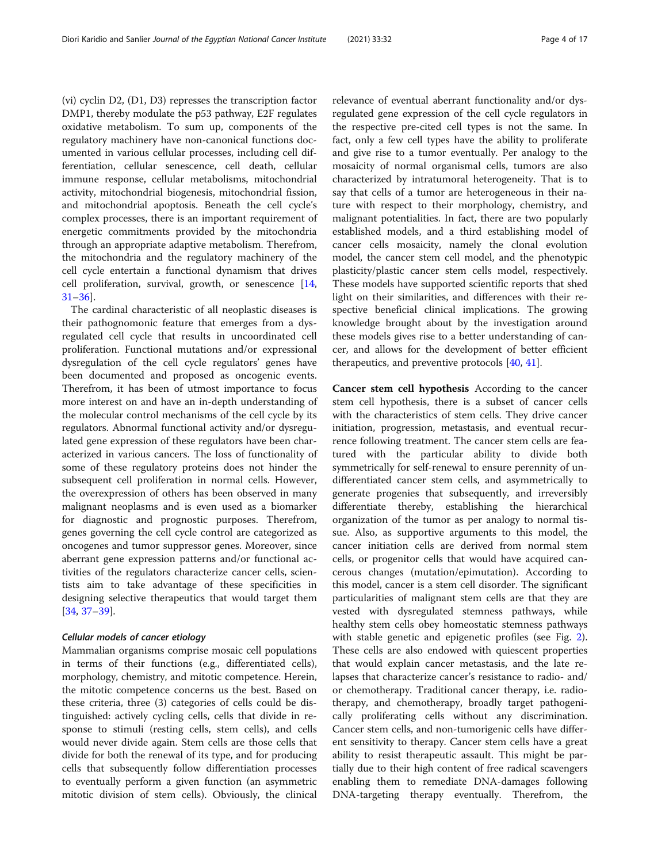(vi) cyclin D2, (D1, D3) represses the transcription factor DMP1, thereby modulate the p53 pathway, E2F regulates oxidative metabolism. To sum up, components of the regulatory machinery have non-canonical functions documented in various cellular processes, including cell differentiation, cellular senescence, cell death, cellular immune response, cellular metabolisms, mitochondrial activity, mitochondrial biogenesis, mitochondrial fission, and mitochondrial apoptosis. Beneath the cell cycle's complex processes, there is an important requirement of energetic commitments provided by the mitochondria through an appropriate adaptive metabolism. Therefrom, the mitochondria and the regulatory machinery of the cell cycle entertain a functional dynamism that drives cell proliferation, survival, growth, or senescence [[14](#page-13-0), [31](#page-13-0)–[36](#page-13-0)].

The cardinal characteristic of all neoplastic diseases is their pathognomonic feature that emerges from a dysregulated cell cycle that results in uncoordinated cell proliferation. Functional mutations and/or expressional dysregulation of the cell cycle regulators' genes have been documented and proposed as oncogenic events. Therefrom, it has been of utmost importance to focus more interest on and have an in-depth understanding of the molecular control mechanisms of the cell cycle by its regulators. Abnormal functional activity and/or dysregulated gene expression of these regulators have been characterized in various cancers. The loss of functionality of some of these regulatory proteins does not hinder the subsequent cell proliferation in normal cells. However, the overexpression of others has been observed in many malignant neoplasms and is even used as a biomarker for diagnostic and prognostic purposes. Therefrom, genes governing the cell cycle control are categorized as oncogenes and tumor suppressor genes. Moreover, since aberrant gene expression patterns and/or functional activities of the regulators characterize cancer cells, scientists aim to take advantage of these specificities in designing selective therapeutics that would target them [[34,](#page-13-0) [37](#page-13-0)–[39](#page-13-0)].

#### Cellular models of cancer etiology

Mammalian organisms comprise mosaic cell populations in terms of their functions (e.g., differentiated cells), morphology, chemistry, and mitotic competence. Herein, the mitotic competence concerns us the best. Based on these criteria, three (3) categories of cells could be distinguished: actively cycling cells, cells that divide in response to stimuli (resting cells, stem cells), and cells would never divide again. Stem cells are those cells that divide for both the renewal of its type, and for producing cells that subsequently follow differentiation processes to eventually perform a given function (an asymmetric mitotic division of stem cells). Obviously, the clinical

relevance of eventual aberrant functionality and/or dysregulated gene expression of the cell cycle regulators in the respective pre-cited cell types is not the same. In fact, only a few cell types have the ability to proliferate and give rise to a tumor eventually. Per analogy to the mosaicity of normal organismal cells, tumors are also characterized by intratumoral heterogeneity. That is to say that cells of a tumor are heterogeneous in their nature with respect to their morphology, chemistry, and malignant potentialities. In fact, there are two popularly established models, and a third establishing model of cancer cells mosaicity, namely the clonal evolution model, the cancer stem cell model, and the phenotypic plasticity/plastic cancer stem cells model, respectively. These models have supported scientific reports that shed light on their similarities, and differences with their respective beneficial clinical implications. The growing knowledge brought about by the investigation around these models gives rise to a better understanding of cancer, and allows for the development of better efficient therapeutics, and preventive protocols [\[40,](#page-13-0) [41\]](#page-13-0).

Cancer stem cell hypothesis According to the cancer stem cell hypothesis, there is a subset of cancer cells with the characteristics of stem cells. They drive cancer initiation, progression, metastasis, and eventual recurrence following treatment. The cancer stem cells are featured with the particular ability to divide both symmetrically for self-renewal to ensure perennity of undifferentiated cancer stem cells, and asymmetrically to generate progenies that subsequently, and irreversibly differentiate thereby, establishing the hierarchical organization of the tumor as per analogy to normal tissue. Also, as supportive arguments to this model, the cancer initiation cells are derived from normal stem cells, or progenitor cells that would have acquired cancerous changes (mutation/epimutation). According to this model, cancer is a stem cell disorder. The significant particularities of malignant stem cells are that they are vested with dysregulated stemness pathways, while healthy stem cells obey homeostatic stemness pathways with stable genetic and epigenetic profiles (see Fig. [2](#page-4-0)). These cells are also endowed with quiescent properties that would explain cancer metastasis, and the late relapses that characterize cancer's resistance to radio- and/ or chemotherapy. Traditional cancer therapy, i.e. radiotherapy, and chemotherapy, broadly target pathogenically proliferating cells without any discrimination. Cancer stem cells, and non-tumorigenic cells have different sensitivity to therapy. Cancer stem cells have a great ability to resist therapeutic assault. This might be partially due to their high content of free radical scavengers enabling them to remediate DNA-damages following DNA-targeting therapy eventually. Therefrom, the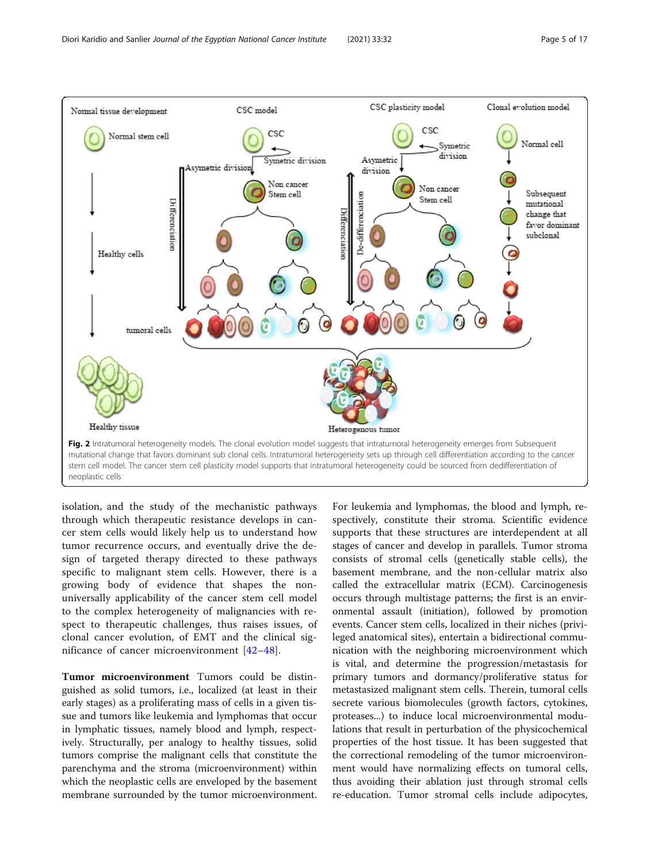<span id="page-4-0"></span>

isolation, and the study of the mechanistic pathways through which therapeutic resistance develops in cancer stem cells would likely help us to understand how tumor recurrence occurs, and eventually drive the design of targeted therapy directed to these pathways specific to malignant stem cells. However, there is a growing body of evidence that shapes the nonuniversally applicability of the cancer stem cell model to the complex heterogeneity of malignancies with respect to therapeutic challenges, thus raises issues, of clonal cancer evolution, of EMT and the clinical significance of cancer microenvironment [[42](#page-13-0)–[48\]](#page-13-0).

Tumor microenvironment Tumors could be distinguished as solid tumors, i.e., localized (at least in their early stages) as a proliferating mass of cells in a given tissue and tumors like leukemia and lymphomas that occur in lymphatic tissues, namely blood and lymph, respectively. Structurally, per analogy to healthy tissues, solid tumors comprise the malignant cells that constitute the parenchyma and the stroma (microenvironment) within which the neoplastic cells are enveloped by the basement membrane surrounded by the tumor microenvironment.

For leukemia and lymphomas, the blood and lymph, respectively, constitute their stroma. Scientific evidence supports that these structures are interdependent at all stages of cancer and develop in parallels. Tumor stroma consists of stromal cells (genetically stable cells), the basement membrane, and the non-cellular matrix also called the extracellular matrix (ECM). Carcinogenesis occurs through multistage patterns; the first is an environmental assault (initiation), followed by promotion events. Cancer stem cells, localized in their niches (privileged anatomical sites), entertain a bidirectional communication with the neighboring microenvironment which is vital, and determine the progression/metastasis for primary tumors and dormancy/proliferative status for metastasized malignant stem cells. Therein, tumoral cells secrete various biomolecules (growth factors, cytokines, proteases...) to induce local microenvironmental modulations that result in perturbation of the physicochemical properties of the host tissue. It has been suggested that the correctional remodeling of the tumor microenvironment would have normalizing effects on tumoral cells, thus avoiding their ablation just through stromal cells re-education. Tumor stromal cells include adipocytes,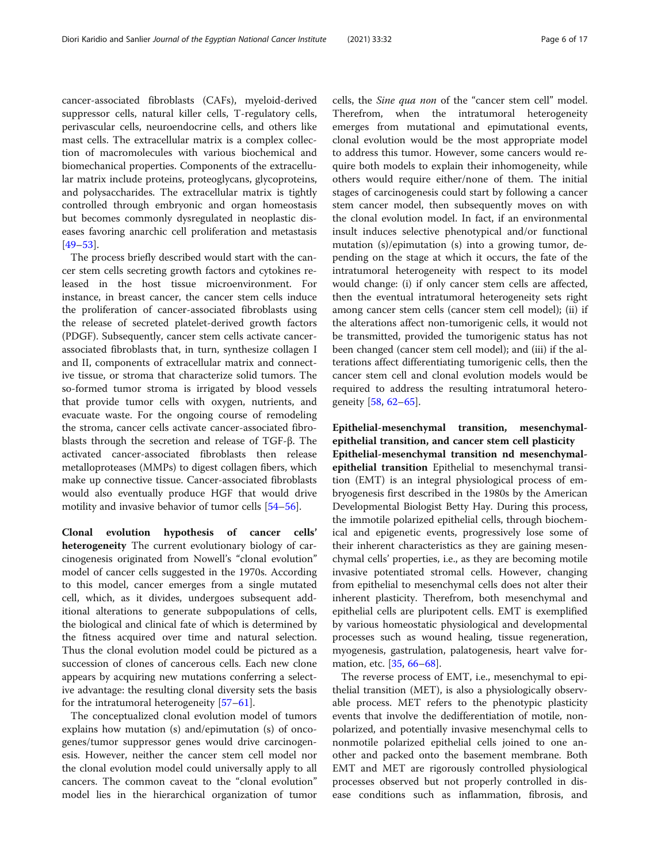cancer-associated fibroblasts (CAFs), myeloid-derived suppressor cells, natural killer cells, T-regulatory cells, perivascular cells, neuroendocrine cells, and others like mast cells. The extracellular matrix is a complex collection of macromolecules with various biochemical and biomechanical properties. Components of the extracellular matrix include proteins, proteoglycans, glycoproteins, and polysaccharides. The extracellular matrix is tightly controlled through embryonic and organ homeostasis but becomes commonly dysregulated in neoplastic diseases favoring anarchic cell proliferation and metastasis [[49](#page-13-0)–[53](#page-13-0)].

The process briefly described would start with the cancer stem cells secreting growth factors and cytokines released in the host tissue microenvironment. For instance, in breast cancer, the cancer stem cells induce the proliferation of cancer-associated fibroblasts using the release of secreted platelet-derived growth factors (PDGF). Subsequently, cancer stem cells activate cancerassociated fibroblasts that, in turn, synthesize collagen I and II, components of extracellular matrix and connective tissue, or stroma that characterize solid tumors. The so-formed tumor stroma is irrigated by blood vessels that provide tumor cells with oxygen, nutrients, and evacuate waste. For the ongoing course of remodeling the stroma, cancer cells activate cancer-associated fibroblasts through the secretion and release of TGF-β. The activated cancer-associated fibroblasts then release metalloproteases (MMPs) to digest collagen fibers, which make up connective tissue. Cancer-associated fibroblasts would also eventually produce HGF that would drive motility and invasive behavior of tumor cells [\[54](#page-13-0)–[56](#page-13-0)].

Clonal evolution hypothesis of cancer cells' heterogeneity The current evolutionary biology of carcinogenesis originated from Nowell's "clonal evolution" model of cancer cells suggested in the 1970s. According to this model, cancer emerges from a single mutated cell, which, as it divides, undergoes subsequent additional alterations to generate subpopulations of cells, the biological and clinical fate of which is determined by the fitness acquired over time and natural selection. Thus the clonal evolution model could be pictured as a succession of clones of cancerous cells. Each new clone appears by acquiring new mutations conferring a selective advantage: the resulting clonal diversity sets the basis for the intratumoral heterogeneity [[57](#page-13-0)–[61](#page-14-0)].

The conceptualized clonal evolution model of tumors explains how mutation (s) and/epimutation (s) of oncogenes/tumor suppressor genes would drive carcinogenesis. However, neither the cancer stem cell model nor the clonal evolution model could universally apply to all cancers. The common caveat to the "clonal evolution" model lies in the hierarchical organization of tumor

cells, the Sine qua non of the "cancer stem cell" model. Therefrom, when the intratumoral heterogeneity emerges from mutational and epimutational events, clonal evolution would be the most appropriate model to address this tumor. However, some cancers would require both models to explain their inhomogeneity, while others would require either/none of them. The initial stages of carcinogenesis could start by following a cancer stem cancer model, then subsequently moves on with the clonal evolution model. In fact, if an environmental insult induces selective phenotypical and/or functional mutation (s)/epimutation (s) into a growing tumor, depending on the stage at which it occurs, the fate of the intratumoral heterogeneity with respect to its model would change: (i) if only cancer stem cells are affected, then the eventual intratumoral heterogeneity sets right among cancer stem cells (cancer stem cell model); (ii) if the alterations affect non-tumorigenic cells, it would not be transmitted, provided the tumorigenic status has not been changed (cancer stem cell model); and (iii) if the alterations affect differentiating tumorigenic cells, then the cancer stem cell and clonal evolution models would be required to address the resulting intratumoral heterogeneity [[58,](#page-13-0) [62](#page-14-0)–[65](#page-14-0)].

Epithelial-mesenchymal transition, mesenchymalepithelial transition, and cancer stem cell plasticity

Epithelial-mesenchymal transition nd mesenchymalepithelial transition Epithelial to mesenchymal transition (EMT) is an integral physiological process of embryogenesis first described in the 1980s by the American Developmental Biologist Betty Hay. During this process, the immotile polarized epithelial cells, through biochemical and epigenetic events, progressively lose some of their inherent characteristics as they are gaining mesenchymal cells' properties, i.e., as they are becoming motile invasive potentiated stromal cells. However, changing from epithelial to mesenchymal cells does not alter their inherent plasticity. Therefrom, both mesenchymal and epithelial cells are pluripotent cells. EMT is exemplified by various homeostatic physiological and developmental processes such as wound healing, tissue regeneration, myogenesis, gastrulation, palatogenesis, heart valve for-mation, etc. [[35,](#page-13-0) [66](#page-14-0)–[68](#page-14-0)].

The reverse process of EMT, i.e., mesenchymal to epithelial transition (MET), is also a physiologically observable process. MET refers to the phenotypic plasticity events that involve the dedifferentiation of motile, nonpolarized, and potentially invasive mesenchymal cells to nonmotile polarized epithelial cells joined to one another and packed onto the basement membrane. Both EMT and MET are rigorously controlled physiological processes observed but not properly controlled in disease conditions such as inflammation, fibrosis, and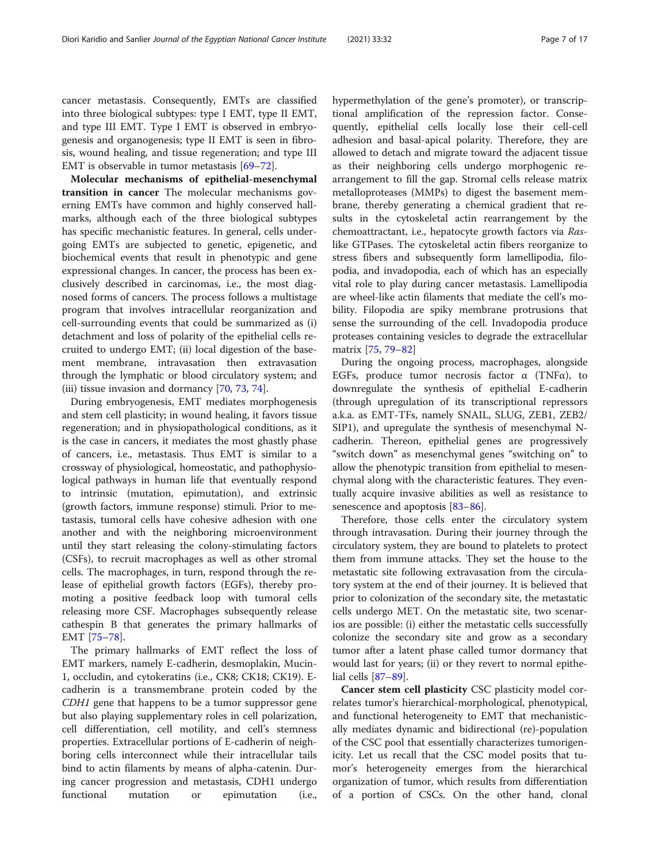cancer metastasis. Consequently, EMTs are classified into three biological subtypes: type I EMT, type II EMT, and type III EMT. Type I EMT is observed in embryogenesis and organogenesis; type II EMT is seen in fibrosis, wound healing, and tissue regeneration; and type III EMT is observable in tumor metastasis [\[69](#page-14-0)–[72\]](#page-14-0).

Molecular mechanisms of epithelial-mesenchymal transition in cancer The molecular mechanisms governing EMTs have common and highly conserved hallmarks, although each of the three biological subtypes has specific mechanistic features. In general, cells undergoing EMTs are subjected to genetic, epigenetic, and biochemical events that result in phenotypic and gene expressional changes. In cancer, the process has been exclusively described in carcinomas, i.e., the most diagnosed forms of cancers. The process follows a multistage program that involves intracellular reorganization and cell-surrounding events that could be summarized as (i) detachment and loss of polarity of the epithelial cells recruited to undergo EMT; (ii) local digestion of the basement membrane, intravasation then extravasation through the lymphatic or blood circulatory system; and (iii) tissue invasion and dormancy [\[70,](#page-14-0) [73,](#page-14-0) [74\]](#page-14-0).

During embryogenesis, EMT mediates morphogenesis and stem cell plasticity; in wound healing, it favors tissue regeneration; and in physiopathological conditions, as it is the case in cancers, it mediates the most ghastly phase of cancers, i.e., metastasis. Thus EMT is similar to a crossway of physiological, homeostatic, and pathophysiological pathways in human life that eventually respond to intrinsic (mutation, epimutation), and extrinsic (growth factors, immune response) stimuli. Prior to metastasis, tumoral cells have cohesive adhesion with one another and with the neighboring microenvironment until they start releasing the colony-stimulating factors (CSFs), to recruit macrophages as well as other stromal cells. The macrophages, in turn, respond through the release of epithelial growth factors (EGFs), thereby promoting a positive feedback loop with tumoral cells releasing more CSF. Macrophages subsequently release cathespin B that generates the primary hallmarks of EMT [[75](#page-14-0)–[78\]](#page-14-0).

The primary hallmarks of EMT reflect the loss of EMT markers, namely E-cadherin, desmoplakin, Mucin-1, occludin, and cytokeratins (i.e., CK8; CK18; CK19). Ecadherin is a transmembrane protein coded by the CDH1 gene that happens to be a tumor suppressor gene but also playing supplementary roles in cell polarization, cell differentiation, cell motility, and cell's stemness properties. Extracellular portions of E-cadherin of neighboring cells interconnect while their intracellular tails bind to actin filaments by means of alpha-catenin. During cancer progression and metastasis, CDH1 undergo functional mutation or epimutation (i.e.,

hypermethylation of the gene's promoter), or transcriptional amplification of the repression factor. Consequently, epithelial cells locally lose their cell-cell adhesion and basal-apical polarity. Therefore, they are allowed to detach and migrate toward the adjacent tissue as their neighboring cells undergo morphogenic rearrangement to fill the gap. Stromal cells release matrix metalloproteases (MMPs) to digest the basement membrane, thereby generating a chemical gradient that results in the cytoskeletal actin rearrangement by the chemoattractant, i.e., hepatocyte growth factors via Raslike GTPases. The cytoskeletal actin fibers reorganize to stress fibers and subsequently form lamellipodia, filopodia, and invadopodia, each of which has an especially vital role to play during cancer metastasis. Lamellipodia are wheel-like actin filaments that mediate the cell's mobility. Filopodia are spiky membrane protrusions that sense the surrounding of the cell. Invadopodia produce proteases containing vesicles to degrade the extracellular matrix [[75](#page-14-0), [79](#page-14-0)–[82](#page-14-0)]

During the ongoing process, macrophages, alongside EGFs, produce tumor necrosis factor  $\alpha$  (TNF $\alpha$ ), to downregulate the synthesis of epithelial E-cadherin (through upregulation of its transcriptional repressors a.k.a. as EMT-TFs, namely SNAIL, SLUG, ZEB1, ZEB2/ SIP1), and upregulate the synthesis of mesenchymal Ncadherin. Thereon, epithelial genes are progressively "switch down" as mesenchymal genes "switching on" to allow the phenotypic transition from epithelial to mesenchymal along with the characteristic features. They eventually acquire invasive abilities as well as resistance to senescence and apoptosis [[83](#page-14-0)–[86](#page-14-0)].

Therefore, those cells enter the circulatory system through intravasation. During their journey through the circulatory system, they are bound to platelets to protect them from immune attacks. They set the house to the metastatic site following extravasation from the circulatory system at the end of their journey. It is believed that prior to colonization of the secondary site, the metastatic cells undergo MET. On the metastatic site, two scenarios are possible: (i) either the metastatic cells successfully colonize the secondary site and grow as a secondary tumor after a latent phase called tumor dormancy that would last for years; (ii) or they revert to normal epithelial cells [[87](#page-14-0)–[89](#page-14-0)].

Cancer stem cell plasticity CSC plasticity model correlates tumor's hierarchical-morphological, phenotypical, and functional heterogeneity to EMT that mechanistically mediates dynamic and bidirectional (re)-population of the CSC pool that essentially characterizes tumorigenicity. Let us recall that the CSC model posits that tumor's heterogeneity emerges from the hierarchical organization of tumor, which results from differentiation of a portion of CSCs. On the other hand, clonal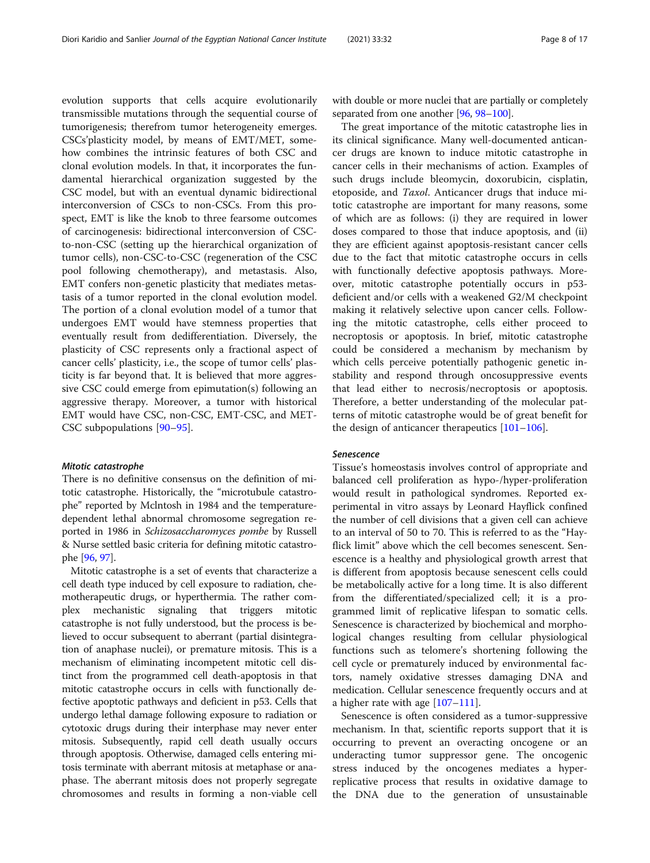evolution supports that cells acquire evolutionarily transmissible mutations through the sequential course of tumorigenesis; therefrom tumor heterogeneity emerges. CSCs'plasticity model, by means of EMT/MET, somehow combines the intrinsic features of both CSC and clonal evolution models. In that, it incorporates the fundamental hierarchical organization suggested by the CSC model, but with an eventual dynamic bidirectional interconversion of CSCs to non-CSCs. From this prospect, EMT is like the knob to three fearsome outcomes of carcinogenesis: bidirectional interconversion of CSCto-non-CSC (setting up the hierarchical organization of tumor cells), non-CSC-to-CSC (regeneration of the CSC pool following chemotherapy), and metastasis. Also, EMT confers non-genetic plasticity that mediates metastasis of a tumor reported in the clonal evolution model. The portion of a clonal evolution model of a tumor that undergoes EMT would have stemness properties that eventually result from dedifferentiation. Diversely, the plasticity of CSC represents only a fractional aspect of cancer cells' plasticity, i.e., the scope of tumor cells' plasticity is far beyond that. It is believed that more aggressive CSC could emerge from epimutation(s) following an aggressive therapy. Moreover, a tumor with historical EMT would have CSC, non-CSC, EMT-CSC, and MET-CSC subpopulations [\[90](#page-14-0)–[95\]](#page-14-0).

#### Mitotic catastrophe

There is no definitive consensus on the definition of mitotic catastrophe. Historically, the "microtubule catastrophe" reported by Mclntosh in 1984 and the temperaturedependent lethal abnormal chromosome segregation reported in 1986 in Schizosaccharomyces pombe by Russell & Nurse settled basic criteria for defining mitotic catastrophe [\[96,](#page-14-0) [97](#page-14-0)].

Mitotic catastrophe is a set of events that characterize a cell death type induced by cell exposure to radiation, chemotherapeutic drugs, or hyperthermia. The rather complex mechanistic signaling that triggers mitotic catastrophe is not fully understood, but the process is believed to occur subsequent to aberrant (partial disintegration of anaphase nuclei), or premature mitosis. This is a mechanism of eliminating incompetent mitotic cell distinct from the programmed cell death-apoptosis in that mitotic catastrophe occurs in cells with functionally defective apoptotic pathways and deficient in p53. Cells that undergo lethal damage following exposure to radiation or cytotoxic drugs during their interphase may never enter mitosis. Subsequently, rapid cell death usually occurs through apoptosis. Otherwise, damaged cells entering mitosis terminate with aberrant mitosis at metaphase or anaphase. The aberrant mitosis does not properly segregate chromosomes and results in forming a non-viable cell

with double or more nuclei that are partially or completely separated from one another [\[96,](#page-14-0) [98](#page-14-0)–[100\]](#page-14-0).

The great importance of the mitotic catastrophe lies in its clinical significance. Many well-documented anticancer drugs are known to induce mitotic catastrophe in cancer cells in their mechanisms of action. Examples of such drugs include bleomycin, doxorubicin, cisplatin, etoposide, and Taxol. Anticancer drugs that induce mitotic catastrophe are important for many reasons, some of which are as follows: (i) they are required in lower doses compared to those that induce apoptosis, and (ii) they are efficient against apoptosis-resistant cancer cells due to the fact that mitotic catastrophe occurs in cells with functionally defective apoptosis pathways. Moreover, mitotic catastrophe potentially occurs in p53 deficient and/or cells with a weakened G2/M checkpoint making it relatively selective upon cancer cells. Following the mitotic catastrophe, cells either proceed to necroptosis or apoptosis. In brief, mitotic catastrophe could be considered a mechanism by mechanism by which cells perceive potentially pathogenic genetic instability and respond through oncosuppressive events that lead either to necrosis/necroptosis or apoptosis. Therefore, a better understanding of the molecular patterns of mitotic catastrophe would be of great benefit for the design of anticancer therapeutics  $[101-106]$  $[101-106]$  $[101-106]$  $[101-106]$ .

#### Senescence

Tissue's homeostasis involves control of appropriate and balanced cell proliferation as hypo-/hyper-proliferation would result in pathological syndromes. Reported experimental in vitro assays by Leonard Hayflick confined the number of cell divisions that a given cell can achieve to an interval of 50 to 70. This is referred to as the "Hayflick limit" above which the cell becomes senescent. Senescence is a healthy and physiological growth arrest that is different from apoptosis because senescent cells could be metabolically active for a long time. It is also different from the differentiated/specialized cell; it is a programmed limit of replicative lifespan to somatic cells. Senescence is characterized by biochemical and morphological changes resulting from cellular physiological functions such as telomere's shortening following the cell cycle or prematurely induced by environmental factors, namely oxidative stresses damaging DNA and medication. Cellular senescence frequently occurs and at a higher rate with age  $[107-111]$  $[107-111]$  $[107-111]$  $[107-111]$ .

Senescence is often considered as a tumor-suppressive mechanism. In that, scientific reports support that it is occurring to prevent an overacting oncogene or an underacting tumor suppressor gene. The oncogenic stress induced by the oncogenes mediates a hyperreplicative process that results in oxidative damage to the DNA due to the generation of unsustainable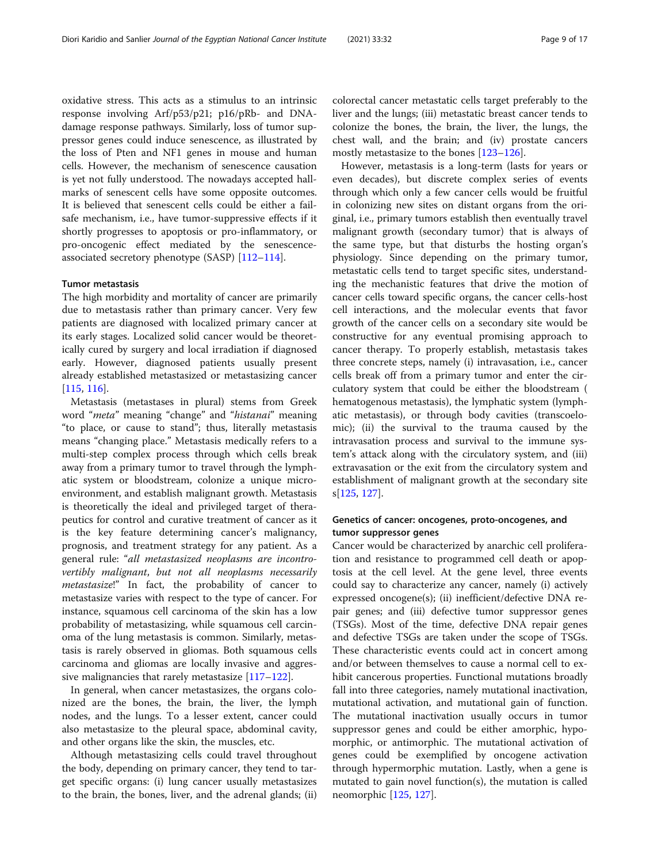oxidative stress. This acts as a stimulus to an intrinsic response involving Arf/p53/p21; p16/pRb- and DNAdamage response pathways. Similarly, loss of tumor suppressor genes could induce senescence, as illustrated by the loss of Pten and NF1 genes in mouse and human cells. However, the mechanism of senescence causation is yet not fully understood. The nowadays accepted hallmarks of senescent cells have some opposite outcomes. It is believed that senescent cells could be either a failsafe mechanism, i.e., have tumor-suppressive effects if it shortly progresses to apoptosis or pro-inflammatory, or pro-oncogenic effect mediated by the senescenceassociated secretory phenotype (SASP) [\[112](#page-15-0)–[114\]](#page-15-0).

#### Tumor metastasis

The high morbidity and mortality of cancer are primarily due to metastasis rather than primary cancer. Very few patients are diagnosed with localized primary cancer at its early stages. Localized solid cancer would be theoretically cured by surgery and local irradiation if diagnosed early. However, diagnosed patients usually present already established metastasized or metastasizing cancer [[115,](#page-15-0) [116](#page-15-0)].

Metastasis (metastases in plural) stems from Greek word "meta" meaning "change" and "histanai" meaning "to place, or cause to stand"; thus, literally metastasis means "changing place." Metastasis medically refers to a multi-step complex process through which cells break away from a primary tumor to travel through the lymphatic system or bloodstream, colonize a unique microenvironment, and establish malignant growth. Metastasis is theoretically the ideal and privileged target of therapeutics for control and curative treatment of cancer as it is the key feature determining cancer's malignancy, prognosis, and treatment strategy for any patient. As a general rule: "all metastasized neoplasms are incontrovertibly malignant, but not all neoplasms necessarily metastasize!" In fact, the probability of cancer to metastasize varies with respect to the type of cancer. For instance, squamous cell carcinoma of the skin has a low probability of metastasizing, while squamous cell carcinoma of the lung metastasis is common. Similarly, metastasis is rarely observed in gliomas. Both squamous cells carcinoma and gliomas are locally invasive and aggressive malignancies that rarely metastasize  $[117-122]$  $[117-122]$  $[117-122]$ .

In general, when cancer metastasizes, the organs colonized are the bones, the brain, the liver, the lymph nodes, and the lungs. To a lesser extent, cancer could also metastasize to the pleural space, abdominal cavity, and other organs like the skin, the muscles, etc.

Although metastasizing cells could travel throughout the body, depending on primary cancer, they tend to target specific organs: (i) lung cancer usually metastasizes to the brain, the bones, liver, and the adrenal glands; (ii)

colorectal cancer metastatic cells target preferably to the liver and the lungs; (iii) metastatic breast cancer tends to colonize the bones, the brain, the liver, the lungs, the chest wall, and the brain; and (iv) prostate cancers mostly metastasize to the bones [\[123](#page-15-0)–[126\]](#page-15-0).

However, metastasis is a long-term (lasts for years or even decades), but discrete complex series of events through which only a few cancer cells would be fruitful in colonizing new sites on distant organs from the original, i.e., primary tumors establish then eventually travel malignant growth (secondary tumor) that is always of the same type, but that disturbs the hosting organ's physiology. Since depending on the primary tumor, metastatic cells tend to target specific sites, understanding the mechanistic features that drive the motion of cancer cells toward specific organs, the cancer cells-host cell interactions, and the molecular events that favor growth of the cancer cells on a secondary site would be constructive for any eventual promising approach to cancer therapy. To properly establish, metastasis takes three concrete steps, namely (i) intravasation, i.e., cancer cells break off from a primary tumor and enter the circulatory system that could be either the bloodstream ( hematogenous metastasis), the lymphatic system (lymphatic metastasis), or through body cavities (transcoelomic); (ii) the survival to the trauma caused by the intravasation process and survival to the immune system's attack along with the circulatory system, and (iii) extravasation or the exit from the circulatory system and establishment of malignant growth at the secondary site s[[125](#page-15-0), [127](#page-15-0)].

#### Genetics of cancer: oncogenes, proto-oncogenes, and tumor suppressor genes

Cancer would be characterized by anarchic cell proliferation and resistance to programmed cell death or apoptosis at the cell level. At the gene level, three events could say to characterize any cancer, namely (i) actively expressed oncogene(s); (ii) inefficient/defective DNA repair genes; and (iii) defective tumor suppressor genes (TSGs). Most of the time, defective DNA repair genes and defective TSGs are taken under the scope of TSGs. These characteristic events could act in concert among and/or between themselves to cause a normal cell to exhibit cancerous properties. Functional mutations broadly fall into three categories, namely mutational inactivation, mutational activation, and mutational gain of function. The mutational inactivation usually occurs in tumor suppressor genes and could be either amorphic, hypomorphic, or antimorphic. The mutational activation of genes could be exemplified by oncogene activation through hypermorphic mutation. Lastly, when a gene is mutated to gain novel function(s), the mutation is called neomorphic [\[125,](#page-15-0) [127\]](#page-15-0).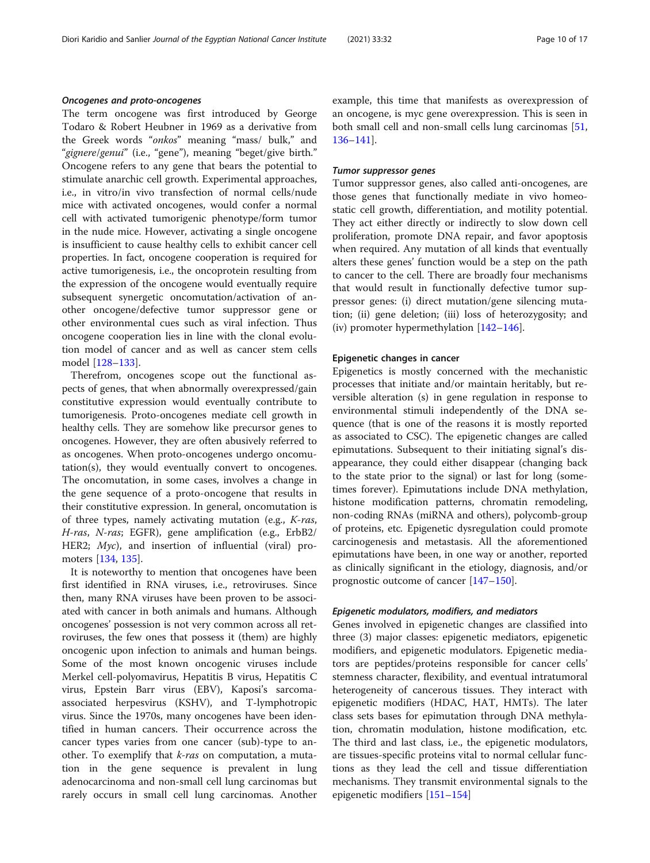The term oncogene was first introduced by George Todaro & Robert Heubner in 1969 as a derivative from the Greek words "onkos" meaning "mass/ bulk," and "gignere/genui" (i.e., "gene"), meaning "beget/give birth." Oncogene refers to any gene that bears the potential to stimulate anarchic cell growth. Experimental approaches, i.e., in vitro/in vivo transfection of normal cells/nude mice with activated oncogenes, would confer a normal cell with activated tumorigenic phenotype/form tumor in the nude mice. However, activating a single oncogene is insufficient to cause healthy cells to exhibit cancer cell properties. In fact, oncogene cooperation is required for active tumorigenesis, i.e., the oncoprotein resulting from the expression of the oncogene would eventually require subsequent synergetic oncomutation/activation of another oncogene/defective tumor suppressor gene or other environmental cues such as viral infection. Thus oncogene cooperation lies in line with the clonal evolution model of cancer and as well as cancer stem cells model [\[128](#page-15-0)–[133\]](#page-15-0).

Therefrom, oncogenes scope out the functional aspects of genes, that when abnormally overexpressed/gain constitutive expression would eventually contribute to tumorigenesis. Proto-oncogenes mediate cell growth in healthy cells. They are somehow like precursor genes to oncogenes. However, they are often abusively referred to as oncogenes. When proto-oncogenes undergo oncomutation(s), they would eventually convert to oncogenes. The oncomutation, in some cases, involves a change in the gene sequence of a proto-oncogene that results in their constitutive expression. In general, oncomutation is of three types, namely activating mutation (e.g., K-ras, H-ras, N-ras; EGFR), gene amplification (e.g., ErbB2/ HER2;  $Myc$ ), and insertion of influential (viral) promoters [\[134,](#page-15-0) [135\]](#page-15-0).

It is noteworthy to mention that oncogenes have been first identified in RNA viruses, i.e., retroviruses. Since then, many RNA viruses have been proven to be associated with cancer in both animals and humans. Although oncogenes' possession is not very common across all retroviruses, the few ones that possess it (them) are highly oncogenic upon infection to animals and human beings. Some of the most known oncogenic viruses include Merkel cell-polyomavirus, Hepatitis B virus, Hepatitis C virus, Epstein Barr virus (EBV), Kaposi's sarcomaassociated herpesvirus (KSHV), and T-lymphotropic virus. Since the 1970s, many oncogenes have been identified in human cancers. Their occurrence across the cancer types varies from one cancer (sub)-type to another. To exemplify that *k-ras* on computation, a mutation in the gene sequence is prevalent in lung adenocarcinoma and non-small cell lung carcinomas but rarely occurs in small cell lung carcinomas. Another example, this time that manifests as overexpression of an oncogene, is myc gene overexpression. This is seen in both small cell and non-small cells lung carcinomas [[51](#page-13-0), [136](#page-15-0)–[141](#page-15-0)].

#### Tumor suppressor genes

Tumor suppressor genes, also called anti-oncogenes, are those genes that functionally mediate in vivo homeostatic cell growth, differentiation, and motility potential. They act either directly or indirectly to slow down cell proliferation, promote DNA repair, and favor apoptosis when required. Any mutation of all kinds that eventually alters these genes' function would be a step on the path to cancer to the cell. There are broadly four mechanisms that would result in functionally defective tumor suppressor genes: (i) direct mutation/gene silencing mutation; (ii) gene deletion; (iii) loss of heterozygosity; and (iv) promoter hypermethylation [\[142](#page-15-0)–[146\]](#page-15-0).

#### Epigenetic changes in cancer

Epigenetics is mostly concerned with the mechanistic processes that initiate and/or maintain heritably, but reversible alteration (s) in gene regulation in response to environmental stimuli independently of the DNA sequence (that is one of the reasons it is mostly reported as associated to CSC). The epigenetic changes are called epimutations. Subsequent to their initiating signal's disappearance, they could either disappear (changing back to the state prior to the signal) or last for long (sometimes forever). Epimutations include DNA methylation, histone modification patterns, chromatin remodeling, non-coding RNAs (miRNA and others), polycomb-group of proteins, etc. Epigenetic dysregulation could promote carcinogenesis and metastasis. All the aforementioned epimutations have been, in one way or another, reported as clinically significant in the etiology, diagnosis, and/or prognostic outcome of cancer [\[147](#page-16-0)–[150\]](#page-16-0).

#### Epigenetic modulators, modifiers, and mediators

Genes involved in epigenetic changes are classified into three (3) major classes: epigenetic mediators, epigenetic modifiers, and epigenetic modulators. Epigenetic mediators are peptides/proteins responsible for cancer cells' stemness character, flexibility, and eventual intratumoral heterogeneity of cancerous tissues. They interact with epigenetic modifiers (HDAC, HAT, HMTs). The later class sets bases for epimutation through DNA methylation, chromatin modulation, histone modification, etc. The third and last class, i.e., the epigenetic modulators, are tissues-specific proteins vital to normal cellular functions as they lead the cell and tissue differentiation mechanisms. They transmit environmental signals to the epigenetic modifiers [\[151](#page-16-0)–[154\]](#page-16-0)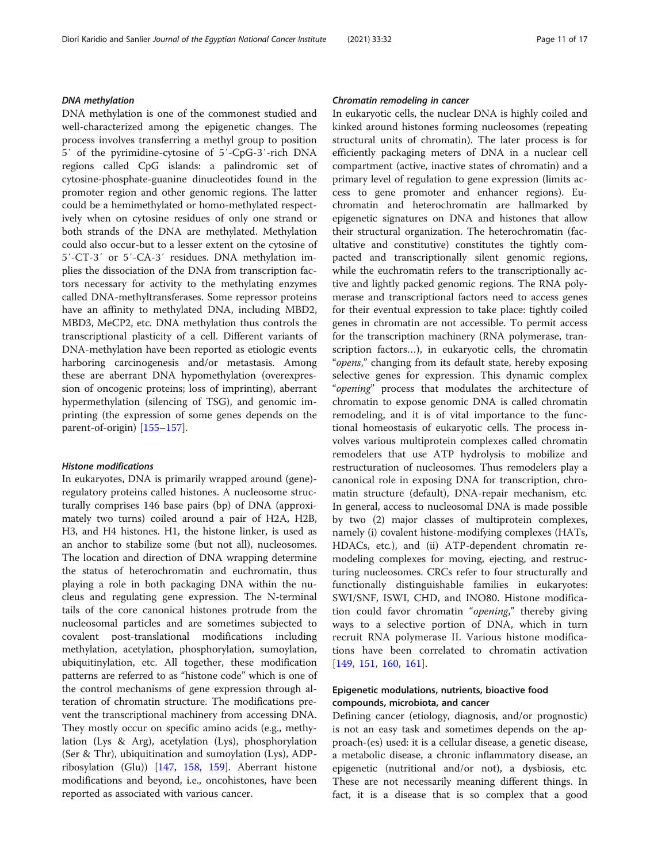#### DNA methylation

DNA methylation is one of the commonest studied and well-characterized among the epigenetic changes. The process involves transferring a methyl group to position 5′ of the pyrimidine-cytosine of 5′-CpG-3′-rich DNA regions called CpG islands: a palindromic set of cytosine-phosphate-guanine dinucleotides found in the promoter region and other genomic regions. The latter could be a hemimethylated or homo-methylated respectively when on cytosine residues of only one strand or both strands of the DNA are methylated. Methylation could also occur-but to a lesser extent on the cytosine of 5′-CT-3′ or 5′-CA-3′ residues. DNA methylation implies the dissociation of the DNA from transcription factors necessary for activity to the methylating enzymes called DNA-methyltransferases. Some repressor proteins have an affinity to methylated DNA, including MBD2, MBD3, MeCP2, etc. DNA methylation thus controls the transcriptional plasticity of a cell. Different variants of DNA-methylation have been reported as etiologic events harboring carcinogenesis and/or metastasis. Among these are aberrant DNA hypomethylation (overexpression of oncogenic proteins; loss of imprinting), aberrant hypermethylation (silencing of TSG), and genomic imprinting (the expression of some genes depends on the parent-of-origin) [\[155](#page-16-0)–[157\]](#page-16-0).

#### Histone modifications

In eukaryotes, DNA is primarily wrapped around (gene) regulatory proteins called histones. A nucleosome structurally comprises 146 base pairs (bp) of DNA (approximately two turns) coiled around a pair of H2A, H2B, H3, and H4 histones. H1, the histone linker, is used as an anchor to stabilize some (but not all), nucleosomes. The location and direction of DNA wrapping determine the status of heterochromatin and euchromatin, thus playing a role in both packaging DNA within the nucleus and regulating gene expression. The N-terminal tails of the core canonical histones protrude from the nucleosomal particles and are sometimes subjected to covalent post-translational modifications including methylation, acetylation, phosphorylation, sumoylation, ubiquitinylation, etc. All together, these modification patterns are referred to as "histone code" which is one of the control mechanisms of gene expression through alteration of chromatin structure. The modifications prevent the transcriptional machinery from accessing DNA. They mostly occur on specific amino acids (e.g., methylation (Lys & Arg), acetylation (Lys), phosphorylation (Ser & Thr), ubiquitination and sumoylation (Lys), ADPribosylation (Glu)) [[147,](#page-16-0) [158,](#page-16-0) [159](#page-16-0)]. Aberrant histone modifications and beyond, i.e., oncohistones, have been reported as associated with various cancer.

#### Chromatin remodeling in cancer

In eukaryotic cells, the nuclear DNA is highly coiled and kinked around histones forming nucleosomes (repeating structural units of chromatin). The later process is for efficiently packaging meters of DNA in a nuclear cell compartment (active, inactive states of chromatin) and a primary level of regulation to gene expression (limits access to gene promoter and enhancer regions). Euchromatin and heterochromatin are hallmarked by epigenetic signatures on DNA and histones that allow their structural organization. The heterochromatin (facultative and constitutive) constitutes the tightly compacted and transcriptionally silent genomic regions, while the euchromatin refers to the transcriptionally active and lightly packed genomic regions. The RNA polymerase and transcriptional factors need to access genes for their eventual expression to take place: tightly coiled genes in chromatin are not accessible. To permit access for the transcription machinery (RNA polymerase, transcription factors…), in eukaryotic cells, the chromatin "opens," changing from its default state, hereby exposing selective genes for expression. This dynamic complex "opening" process that modulates the architecture of chromatin to expose genomic DNA is called chromatin remodeling, and it is of vital importance to the functional homeostasis of eukaryotic cells. The process involves various multiprotein complexes called chromatin remodelers that use ATP hydrolysis to mobilize and restructuration of nucleosomes. Thus remodelers play a canonical role in exposing DNA for transcription, chromatin structure (default), DNA-repair mechanism, etc. In general, access to nucleosomal DNA is made possible by two (2) major classes of multiprotein complexes, namely (i) covalent histone-modifying complexes (HATs, HDACs, etc.), and (ii) ATP-dependent chromatin remodeling complexes for moving, ejecting, and restructuring nucleosomes. CRCs refer to four structurally and functionally distinguishable families in eukaryotes: SWI/SNF, ISWI, CHD, and INO80. Histone modification could favor chromatin "opening," thereby giving ways to a selective portion of DNA, which in turn recruit RNA polymerase II. Various histone modifications have been correlated to chromatin activation [[149,](#page-16-0) [151](#page-16-0), [160](#page-16-0), [161](#page-16-0)].

### Epigenetic modulations, nutrients, bioactive food compounds, microbiota, and cancer

Defining cancer (etiology, diagnosis, and/or prognostic) is not an easy task and sometimes depends on the approach-(es) used: it is a cellular disease, a genetic disease, a metabolic disease, a chronic inflammatory disease, an epigenetic (nutritional and/or not), a dysbiosis, etc. These are not necessarily meaning different things. In fact, it is a disease that is so complex that a good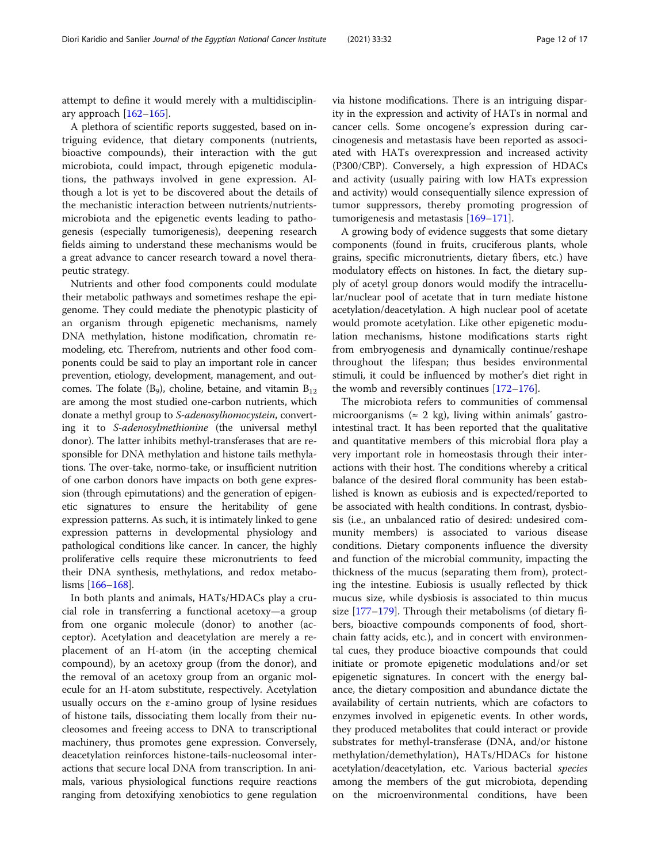attempt to define it would merely with a multidisciplinary approach  $[162-165]$  $[162-165]$  $[162-165]$  $[162-165]$  $[162-165]$ .

A plethora of scientific reports suggested, based on intriguing evidence, that dietary components (nutrients, bioactive compounds), their interaction with the gut microbiota, could impact, through epigenetic modulations, the pathways involved in gene expression. Although a lot is yet to be discovered about the details of the mechanistic interaction between nutrients/nutrientsmicrobiota and the epigenetic events leading to pathogenesis (especially tumorigenesis), deepening research fields aiming to understand these mechanisms would be a great advance to cancer research toward a novel therapeutic strategy.

Nutrients and other food components could modulate their metabolic pathways and sometimes reshape the epigenome. They could mediate the phenotypic plasticity of an organism through epigenetic mechanisms, namely DNA methylation, histone modification, chromatin remodeling, etc. Therefrom, nutrients and other food components could be said to play an important role in cancer prevention, etiology, development, management, and outcomes. The folate  $(B_9)$ , choline, betaine, and vitamin  $B_{12}$ are among the most studied one-carbon nutrients, which donate a methyl group to S-adenosylhomocystein, converting it to S-adenosylmethionine (the universal methyl donor). The latter inhibits methyl-transferases that are responsible for DNA methylation and histone tails methylations. The over-take, normo-take, or insufficient nutrition of one carbon donors have impacts on both gene expression (through epimutations) and the generation of epigenetic signatures to ensure the heritability of gene expression patterns. As such, it is intimately linked to gene expression patterns in developmental physiology and pathological conditions like cancer. In cancer, the highly proliferative cells require these micronutrients to feed their DNA synthesis, methylations, and redox metabolisms [[166](#page-16-0)–[168\]](#page-16-0).

In both plants and animals, HATs/HDACs play a crucial role in transferring a functional acetoxy—a group from one organic molecule (donor) to another (acceptor). Acetylation and deacetylation are merely a replacement of an H-atom (in the accepting chemical compound), by an acetoxy group (from the donor), and the removal of an acetoxy group from an organic molecule for an H-atom substitute, respectively. Acetylation usually occurs on the  $\varepsilon$ -amino group of lysine residues of histone tails, dissociating them locally from their nucleosomes and freeing access to DNA to transcriptional machinery, thus promotes gene expression. Conversely, deacetylation reinforces histone-tails-nucleosomal interactions that secure local DNA from transcription. In animals, various physiological functions require reactions ranging from detoxifying xenobiotics to gene regulation via histone modifications. There is an intriguing disparity in the expression and activity of HATs in normal and cancer cells. Some oncogene's expression during carcinogenesis and metastasis have been reported as associated with HATs overexpression and increased activity (P300/CBP). Conversely, a high expression of HDACs and activity (usually pairing with low HATs expression and activity) would consequentially silence expression of tumor suppressors, thereby promoting progression of tumorigenesis and metastasis [\[169](#page-16-0)–[171\]](#page-16-0).

A growing body of evidence suggests that some dietary components (found in fruits, cruciferous plants, whole grains, specific micronutrients, dietary fibers, etc.) have modulatory effects on histones. In fact, the dietary supply of acetyl group donors would modify the intracellular/nuclear pool of acetate that in turn mediate histone acetylation/deacetylation. A high nuclear pool of acetate would promote acetylation. Like other epigenetic modulation mechanisms, histone modifications starts right from embryogenesis and dynamically continue/reshape throughout the lifespan; thus besides environmental stimuli, it could be influenced by mother's diet right in the womb and reversibly continues [\[172](#page-16-0)–[176\]](#page-16-0).

The microbiota refers to communities of commensal microorganisms ( $\approx$  2 kg), living within animals' gastrointestinal tract. It has been reported that the qualitative and quantitative members of this microbial flora play a very important role in homeostasis through their interactions with their host. The conditions whereby a critical balance of the desired floral community has been established is known as eubiosis and is expected/reported to be associated with health conditions. In contrast, dysbiosis (i.e., an unbalanced ratio of desired: undesired community members) is associated to various disease conditions. Dietary components influence the diversity and function of the microbial community, impacting the thickness of the mucus (separating them from), protecting the intestine. Eubiosis is usually reflected by thick mucus size, while dysbiosis is associated to thin mucus size [[177](#page-16-0)–[179](#page-16-0)]. Through their metabolisms (of dietary fibers, bioactive compounds components of food, shortchain fatty acids, etc.), and in concert with environmental cues, they produce bioactive compounds that could initiate or promote epigenetic modulations and/or set epigenetic signatures. In concert with the energy balance, the dietary composition and abundance dictate the availability of certain nutrients, which are cofactors to enzymes involved in epigenetic events. In other words, they produced metabolites that could interact or provide substrates for methyl-transferase (DNA, and/or histone methylation/demethylation), HATs/HDACs for histone acetylation/deacetylation, etc. Various bacterial species among the members of the gut microbiota, depending on the microenvironmental conditions, have been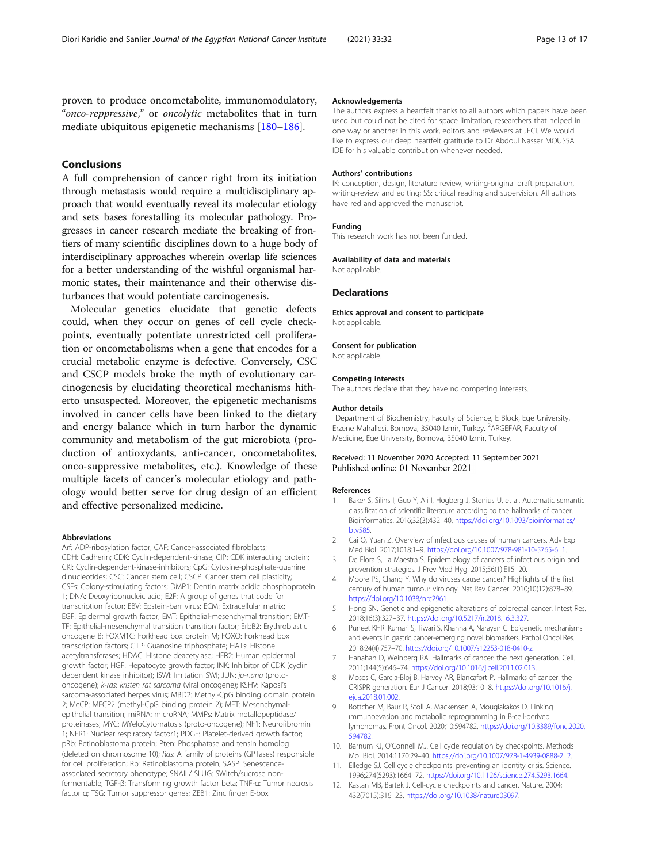<span id="page-12-0"></span>proven to produce oncometabolite, immunomodulatory, "onco-reppressive," or oncolytic metabolites that in turn mediate ubiquitous epigenetic mechanisms [[180](#page-16-0)–[186](#page-16-0)].

#### Conclusions

A full comprehension of cancer right from its initiation through metastasis would require a multidisciplinary approach that would eventually reveal its molecular etiology and sets bases forestalling its molecular pathology. Progresses in cancer research mediate the breaking of frontiers of many scientific disciplines down to a huge body of interdisciplinary approaches wherein overlap life sciences for a better understanding of the wishful organismal harmonic states, their maintenance and their otherwise disturbances that would potentiate carcinogenesis.

Molecular genetics elucidate that genetic defects could, when they occur on genes of cell cycle checkpoints, eventually potentiate unrestricted cell proliferation or oncometabolisms when a gene that encodes for a crucial metabolic enzyme is defective. Conversely, CSC and CSCP models broke the myth of evolutionary carcinogenesis by elucidating theoretical mechanisms hitherto unsuspected. Moreover, the epigenetic mechanisms involved in cancer cells have been linked to the dietary and energy balance which in turn harbor the dynamic community and metabolism of the gut microbiota (production of antioxydants, anti-cancer, oncometabolites, onco-suppressive metabolites, etc.). Knowledge of these multiple facets of cancer's molecular etiology and pathology would better serve for drug design of an efficient and effective personalized medicine.

#### Abbreviations

Arf: ADP-ribosylation factor; CAF: Cancer-associated fibroblasts; CDH: Cadherin; CDK: Cyclin-dependent-kinase; CIP: CDK interacting protein; CKI: Cyclin-dependent-kinase-inhibitors; CpG: Cytosine-phosphate-guanine dinucleotides; CSC: Cancer stem cell; CSCP: Cancer stem cell plasticity; CSFs: Colony-stimulating factors; DMP1: Dentin matrix acidic phosphoprotein 1; DNA: Deoxyribonucleic acid; E2F: A group of genes that code for transcription factor; EBV: Epstein-barr virus; ECM: Extracellular matrix; EGF: Epidermal growth factor; EMT: Epithelial-mesenchymal transition; EMT-TF: Epithelial-mesenchymal transition transition factor; ErbB2: Erythroblastic oncogene B; FOXM1C: Forkhead box protein M; FOXO: Forkhead box transcription factors; GTP: Guanosine triphosphate; HATs: Histone acetyltransferases; HDAC: Histone deacetylase; HER2: Human epidermal growth factor; HGF: Hepatocyte growth factor; INK: Inhibitor of CDK (cyclin dependent kinase inhibitor); ISWI: Imitation SWI; JUN: ju-nana (protooncogene); k-ras: kristen rat sarcoma (viral oncogene); KSHV: Kaposi's sarcoma-associated herpes virus; MBD2: Methyl-CpG binding domain protein 2; MeCP: MECP2 (methyl-CpG binding protein 2); MET: Mesenchymalepithelial transition; miRNA: microRNA; MMPs: Matrix metallopeptidase/ proteinases; MYC: MYeloCytomatosis (proto-oncogene); NF1: Neurofibromin 1; NFR1: Nuclear respiratory factor1; PDGF: Platelet-derived growth factor; pRb: Retinoblastoma protein; Pten: Phosphatase and tensin homolog (deleted on chromosome 10); Ras: A family of proteins (GPTases) responsible for cell proliferation; Rb: Retinoblastoma protein; SASP: Senescenceassociated secretory phenotype; SNAIL/ SLUG: SWItch/sucrose nonfermentable; TGF-β: Transforming growth factor beta; TNF-α: Tumor necrosis factor α; TSG: Tumor suppressor genes; ZEB1: Zinc finger E-box

#### Acknowledgements

The authors express a heartfelt thanks to all authors which papers have been used but could not be cited for space limitation, researchers that helped in one way or another in this work, editors and reviewers at JECI. We would like to express our deep heartfelt gratitude to Dr Abdoul Nasser MOUSSA IDE for his valuable contribution whenever needed.

#### Authors' contributions

IK: conception, design, literature review, writing-original draft preparation, writing-review and editing; SS: critical reading and supervision. All authors have red and approved the manuscript.

#### Funding

This research work has not been funded.

#### Availability of data and materials

Not applicable.

#### Declarations

Ethics approval and consent to participate Not applicable.

#### Consent for publication

Not applicable.

#### Competing interests

The authors declare that they have no competing interests.

#### Author details

<sup>1</sup>Department of Biochemistry, Faculty of Science, E Block, Ege University, Erzene Mahallesi, Bornova, 35040 Izmir, Turkey. <sup>2</sup>ARGEFAR, Faculty of Medicine, Ege University, Bornova, 35040 Izmir, Turkey.

#### Received: 11 November 2020 Accepted: 11 September 2021 Published online: 01 November 2021

#### References

- 1. Baker S, Silins I, Guo Y, Ali I, Hogberg J, Stenius U, et al. Automatic semantic classification of scientific literature according to the hallmarks of cancer. Bioinformatics. 2016;32(3):432–40. [https://doi.org/10.1093/bioinformatics/](https://doi.org/10.1093/bioinformatics/btv585) [btv585](https://doi.org/10.1093/bioinformatics/btv585).
- 2. Cai Q, Yuan Z. Overview of ınfectious causes of human cancers. Adv Exp Med Biol. 2017;1018:1–9. [https://doi.org/10.1007/978-981-10-5765-6\\_1.](https://doi.org/10.1007/978-981-10-5765-6_1)
- 3. De Flora S, La Maestra S. Epidemiology of cancers of infectious origin and prevention strategies. J Prev Med Hyg. 2015;56(1):E15–20.
- 4. Moore PS, Chang Y. Why do viruses cause cancer? Highlights of the first century of human tumour virology. Nat Rev Cancer. 2010;10(12):878–89. [https://doi.org/10.1038/nrc2961.](https://doi.org/10.1038/nrc2961)
- 5. Hong SN. Genetic and epigenetic alterations of colorectal cancer. Intest Res. 2018;16(3):327–37. <https://doi.org/10.5217/ir.2018.16.3.327>.
- 6. Puneet KHR. Kumari S, Tiwari S, Khanna A, Narayan G. Epigenetic mechanisms and events in gastric cancer-emerging novel biomarkers. Pathol Oncol Res. 2018;24(4):757–70. [https://doi.org/10.1007/s12253-018-0410-z.](https://doi.org/10.1007/s12253-018-0410-z)
- 7. Hanahan D, Weinberg RA. Hallmarks of cancer: the next generation. Cell. 2011;144(5):646–74. [https://doi.org/10.1016/j.cell.2011.02.013.](https://doi.org/10.1016/j.cell.2011.02.013)
- 8. Moses C, Garcia-Bloj B, Harvey AR, Blancafort P. Hallmarks of cancer: the CRISPR generation. Eur J Cancer. 2018;93:10–8. [https://doi.org/10.1016/j.](https://doi.org/10.1016/j.ejca.2018.01.002) [ejca.2018.01.002](https://doi.org/10.1016/j.ejca.2018.01.002).
- 9. Bottcher M, Baur R, Stoll A, Mackensen A, Mougiakakos D. Linking ımmunoevasion and metabolic reprogramming in B-cell-derived lymphomas. Front Oncol. 2020;10:594782. [https://doi.org/10.3389/fonc.2020.](https://doi.org/10.3389/fonc.2020.594782) [594782](https://doi.org/10.3389/fonc.2020.594782).
- 10. Barnum KJ, O'Connell MJ. Cell cycle regulation by checkpoints. Methods Mol Biol. 2014;1170:29–40. [https://doi.org/10.1007/978-1-4939-0888-2\\_2](https://doi.org/10.1007/978-1-4939-0888-2_2).
- 11. Elledge SJ. Cell cycle checkpoints: preventing an identity crisis. Science. 1996;274(5293):1664–72. [https://doi.org/10.1126/science.274.5293.1664.](https://doi.org/10.1126/science.274.5293.1664)
- 12. Kastan MB, Bartek J. Cell-cycle checkpoints and cancer. Nature. 2004; 432(7015):316–23. <https://doi.org/10.1038/nature03097>.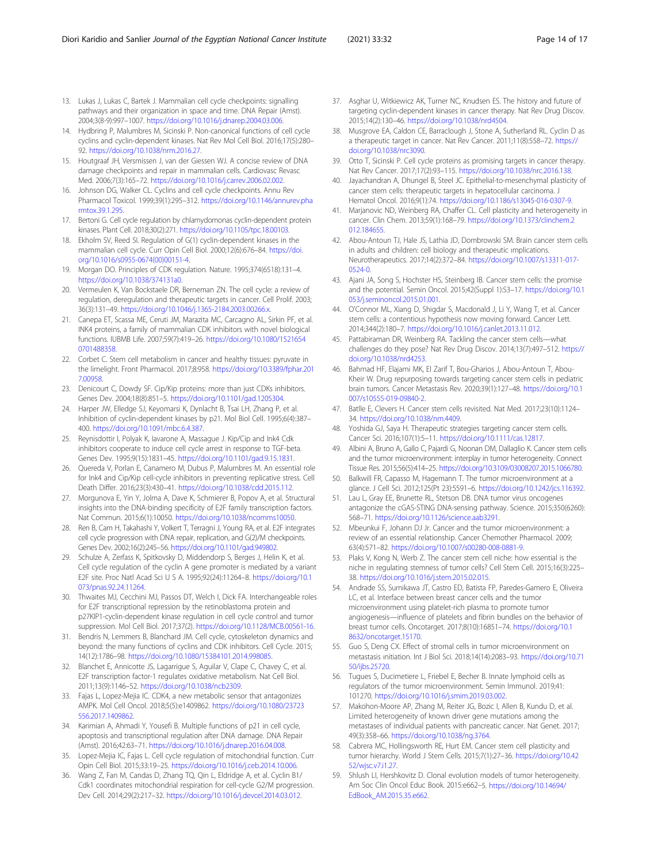- <span id="page-13-0"></span>13. Lukas J, Lukas C, Bartek J. Mammalian cell cycle checkpoints: signalling pathways and their organization in space and time. DNA Repair (Amst). 2004;3(8-9):997–1007. [https://doi.org/10.1016/j.dnarep.2004.03.006.](https://doi.org/10.1016/j.dnarep.2004.03.006)
- 14. Hydbring P, Malumbres M, Sicinski P. Non-canonical functions of cell cycle cyclins and cyclin-dependent kinases. Nat Rev Mol Cell Biol. 2016;17(5):280– 92. [https://doi.org/10.1038/nrm.2016.27.](https://doi.org/10.1038/nrm.2016.27)
- 15. Houtgraaf JH, Versmissen J, van der Giessen WJ. A concise review of DNA damage checkpoints and repair in mammalian cells. Cardiovasc Revasc Med. 2006;7(3):165–72. <https://doi.org/10.1016/j.carrev.2006.02.002>.
- 16. Johnson DG, Walker CL. Cyclins and cell cycle checkpoints. Annu Rev Pharmacol Toxicol. 1999;39(1):295–312. [https://doi.org/10.1146/annurev.pha](https://doi.org/10.1146/annurev.pharmtox.39.1.295) [rmtox.39.1.295.](https://doi.org/10.1146/annurev.pharmtox.39.1.295)
- 17. Bertoni G. Cell cycle regulation by chlamydomonas cyclin-dependent protein kinases. Plant Cell. 2018;30(2):271. <https://doi.org/10.1105/tpc.18.00103>.
- 18. Ekholm SV, Reed SI. Regulation of G(1) cyclin-dependent kinases in the mammalian cell cycle. Curr Opin Cell Biol. 2000;12(6):676–84. [https://doi.](https://doi.org/10.1016/s0955-0674(00)00151-4) [org/10.1016/s0955-0674\(00\)00151-4](https://doi.org/10.1016/s0955-0674(00)00151-4).
- 19. Morgan DO. Principles of CDK regulation. Nature. 1995;374(6518):131–4. [https://doi.org/10.1038/374131a0.](https://doi.org/10.1038/374131a0)
- 20. Vermeulen K, Van Bockstaele DR, Berneman ZN. The cell cycle: a review of regulation, deregulation and therapeutic targets in cancer. Cell Prolif. 2003; 36(3):131–49. <https://doi.org/10.1046/j.1365-2184.2003.00266.x>.
- 21. Canepa ET, Scassa ME, Ceruti JM, Marazita MC, Carcagno AL, Sirkin PF, et al. INK4 proteins, a family of mammalian CDK inhibitors with novel biological functions. IUBMB Life. 2007;59(7):419–26. [https://doi.org/10.1080/1521654](https://doi.org/10.1080/15216540701488358) [0701488358.](https://doi.org/10.1080/15216540701488358)
- 22. Corbet C. Stem cell metabolism in cancer and healthy tissues: pyruvate in the limelight. Front Pharmacol. 2017;8:958. [https://doi.org/10.3389/fphar.201](https://doi.org/10.3389/fphar.2017.00958) [7.00958](https://doi.org/10.3389/fphar.2017.00958).
- 23. Denicourt C, Dowdy SF. Cip/Kip proteins: more than just CDKs inhibitors. Genes Dev. 2004;18(8):851–5. [https://doi.org/10.1101/gad.1205304.](https://doi.org/10.1101/gad.1205304)
- 24. Harper JW, Elledge SJ, Keyomarsi K, Dynlacht B, Tsai LH, Zhang P, et al. Inhibition of cyclin-dependent kinases by p21. Mol Biol Cell. 1995;6(4):387– 400. [https://doi.org/10.1091/mbc.6.4.387.](https://doi.org/10.1091/mbc.6.4.387)
- 25. Reynisdottir I, Polyak K, Iavarone A, Massague J. Kip/Cip and Ink4 Cdk inhibitors cooperate to induce cell cycle arrest in response to TGF-beta. Genes Dev. 1995;9(15):1831–45. [https://doi.org/10.1101/gad.9.15.1831.](https://doi.org/10.1101/gad.9.15.1831)
- 26. Quereda V, Porlan E, Canamero M, Dubus P, Malumbres M. An essential role for Ink4 and Cip/Kip cell-cycle inhibitors in preventing replicative stress. Cell Death Differ. 2016;23(3):430–41. [https://doi.org/10.1038/cdd.2015.112.](https://doi.org/10.1038/cdd.2015.112)
- 27. Morgunova E, Yin Y, Jolma A, Dave K, Schmierer B, Popov A, et al. Structural insights into the DNA-binding specificity of E2F family transcription factors. Nat Commun. 2015;6(1):10050. [https://doi.org/10.1038/ncomms10050.](https://doi.org/10.1038/ncomms10050)
- 28. Ren B, Cam H, Takahashi Y, Volkert T, Terragni J, Young RA, et al. E2F integrates cell cycle progression with DNA repair, replication, and G(2)/M checkpoints. Genes Dev. 2002;16(2):245–56. [https://doi.org/10.1101/gad.949802.](https://doi.org/10.1101/gad.949802)
- 29. Schulze A, Zerfass K, Spitkovsky D, Middendorp S, Berges J, Helin K, et al. Cell cycle regulation of the cyclin A gene promoter is mediated by a variant E2F site. Proc Natl Acad Sci U S A. 1995;92(24):11264–8. [https://doi.org/10.1](https://doi.org/10.1073/pnas.92.24.11264) [073/pnas.92.24.11264](https://doi.org/10.1073/pnas.92.24.11264).
- 30. Thwaites MJ, Cecchini MJ, Passos DT, Welch I, Dick FA. Interchangeable roles for E2F transcriptional repression by the retinoblastoma protein and p27KIP1-cyclin-dependent kinase regulation in cell cycle control and tumor suppression. Mol Cell Biol. 2017;37(2). <https://doi.org/10.1128/MCB.00561-16>.
- 31. Bendris N, Lemmers B, Blanchard JM. Cell cycle, cytoskeleton dynamics and beyond: the many functions of cyclins and CDK inhibitors. Cell Cycle. 2015; 14(12):1786–98. [https://doi.org/10.1080/15384101.2014.998085.](https://doi.org/10.1080/15384101.2014.998085)
- 32. Blanchet E, Annicotte JS, Lagarrigue S, Aguilar V, Clape C, Chavey C, et al. E2F transcription factor-1 regulates oxidative metabolism. Nat Cell Biol. 2011;13(9):1146–52. [https://doi.org/10.1038/ncb2309.](https://doi.org/10.1038/ncb2309)
- 33. Fajas L, Lopez-Mejia IC. CDK4, a new metabolic sensor that antagonizes AMPK. Mol Cell Oncol. 2018;5(5):e1409862. [https://doi.org/10.1080/23723](https://doi.org/10.1080/23723556.2017.1409862) [556.2017.1409862.](https://doi.org/10.1080/23723556.2017.1409862)
- 34. Karimian A, Ahmadi Y, Yousefi B. Multiple functions of p21 in cell cycle, apoptosis and transcriptional regulation after DNA damage. DNA Repair (Amst). 2016;42:63–71. <https://doi.org/10.1016/j.dnarep.2016.04.008>.
- 35. Lopez-Mejia IC, Fajas L. Cell cycle regulation of mitochondrial function. Curr Opin Cell Biol. 2015;33:19–25. [https://doi.org/10.1016/j.ceb.2014.10.006.](https://doi.org/10.1016/j.ceb.2014.10.006)
- 36. Wang Z, Fan M, Candas D, Zhang TQ, Qin L, Eldridge A, et al. Cyclin B1/ Cdk1 coordinates mitochondrial respiration for cell-cycle G2/M progression. Dev Cell. 2014;29(2):217–32. <https://doi.org/10.1016/j.devcel.2014.03.012>.
- 37. Asghar U, Witkiewicz AK, Turner NC, Knudsen ES. The history and future of targeting cyclin-dependent kinases in cancer therapy. Nat Rev Drug Discov. 2015;14(2):130–46. <https://doi.org/10.1038/nrd4504>.
- 38. Musgrove EA, Caldon CE, Barraclough J, Stone A, Sutherland RL. Cyclin D as a therapeutic target in cancer. Nat Rev Cancer. 2011;11(8):558–72. [https://](https://doi.org/10.1038/nrc3090) [doi.org/10.1038/nrc3090.](https://doi.org/10.1038/nrc3090)
- Otto T, Sicinski P. Cell cycle proteins as promising targets in cancer therapy. Nat Rev Cancer. 2017;17(2):93–115. <https://doi.org/10.1038/nrc.2016.138>.
- 40. Jayachandran A, Dhungel B, Steel JC. Epithelial-to-mesenchymal plasticity of cancer stem cells: therapeutic targets in hepatocellular carcinoma. J Hematol Oncol. 2016;9(1):74. [https://doi.org/10.1186/s13045-016-0307-9.](https://doi.org/10.1186/s13045-016-0307-9)
- 41. Marjanovic ND, Weinberg RA, Chaffer CL. Cell plasticity and heterogeneity in cancer. Clin Chem. 2013;59(1):168–79. [https://doi.org/10.1373/clinchem.2](https://doi.org/10.1373/clinchem.2012.184655) [012.184655.](https://doi.org/10.1373/clinchem.2012.184655)
- 42. Abou-Antoun TJ, Hale JS, Lathia JD, Dombrowski SM. Brain cancer stem cells in adults and children: cell biology and therapeutic ımplications. Neurotherapeutics. 2017;14(2):372–84. [https://doi.org/10.1007/s13311-017-](https://doi.org/10.1007/s13311-017-0524-0) [0524-0.](https://doi.org/10.1007/s13311-017-0524-0)
- 43. Ajani JA, Song S, Hochster HS, Steinberg IB. Cancer stem cells: the promise and the potential. Semin Oncol. 2015;42(Suppl 1):S3–17. [https://doi.org/10.1](https://doi.org/10.1053/j.seminoncol.2015.01.001) [053/j.seminoncol.2015.01.001](https://doi.org/10.1053/j.seminoncol.2015.01.001).
- 44. O'Connor ML, Xiang D, Shigdar S, Macdonald J, Li Y, Wang T, et al. Cancer stem cells: a contentious hypothesis now moving forward. Cancer Lett. 2014;344(2):180–7. [https://doi.org/10.1016/j.canlet.2013.11.012.](https://doi.org/10.1016/j.canlet.2013.11.012)
- 45. Pattabiraman DR, Weinberg RA. Tackling the cancer stem cells—what challenges do they pose? Nat Rev Drug Discov. 2014;13(7):497–512. [https://](https://doi.org/10.1038/nrd4253) [doi.org/10.1038/nrd4253.](https://doi.org/10.1038/nrd4253)
- 46. Bahmad HF, Elajami MK, El Zarif T, Bou-Gharios J, Abou-Antoun T, Abou-Kheir W. Drug repurposing towards targeting cancer stem cells in pediatric brain tumors. Cancer Metastasis Rev. 2020;39(1):127–48. [https://doi.org/10.1](https://doi.org/10.1007/s10555-019-09840-2) [007/s10555-019-09840-2](https://doi.org/10.1007/s10555-019-09840-2).
- 47. Batlle E, Clevers H. Cancer stem cells revisited. Nat Med. 2017;23(10):1124– 34. [https://doi.org/10.1038/nm.4409.](https://doi.org/10.1038/nm.4409)
- 48. Yoshida GJ, Saya H. Therapeutic strategies targeting cancer stem cells. Cancer Sci. 2016;107(1):5–11. [https://doi.org/10.1111/cas.12817.](https://doi.org/10.1111/cas.12817)
- 49. Albini A, Bruno A, Gallo C, Pajardi G, Noonan DM, Dallaglio K. Cancer stem cells and the tumor microenvironment: interplay in tumor heterogeneity. Connect Tissue Res. 2015;56(5):414–25. [https://doi.org/10.3109/03008207.2015.1066780.](https://doi.org/10.3109/03008207.2015.1066780)
- 50. Balkwill FR, Capasso M, Hagemann T. The tumor microenvironment at a glance. J Cell Sci. 2012;125(Pt 23):5591–6. [https://doi.org/10.1242/jcs.116392.](https://doi.org/10.1242/jcs.116392)
- 51. Lau L, Gray EE, Brunette RL, Stetson DB. DNA tumor virus oncogenes antagonize the cGAS-STING DNA-sensing pathway. Science. 2015;350(6260): 568–71. [https://doi.org/10.1126/science.aab3291.](https://doi.org/10.1126/science.aab3291)
- 52. Mbeunkui F, Johann DJ Jr. Cancer and the tumor microenvironment: a review of an essential relationship. Cancer Chemother Pharmacol. 2009; 63(4):571–82. <https://doi.org/10.1007/s00280-008-0881-9>.
- 53. Plaks V, Kong N, Werb Z. The cancer stem cell niche: how essential is the niche in regulating stemness of tumor cells? Cell Stem Cell. 2015;16(3):225– 38. [https://doi.org/10.1016/j.stem.2015.02.015.](https://doi.org/10.1016/j.stem.2015.02.015)
- 54. Andrade SS, Sumikawa JT, Castro ED, Batista FP, Paredes-Gamero E, Oliveira LC, et al. Interface between breast cancer cells and the tumor microenvironment using platelet-rich plasma to promote tumor angiogenesis—influence of platelets and fibrin bundles on the behavior of breast tumor cells. Oncotarget. 2017;8(10):16851–74. [https://doi.org/10.1](https://doi.org/10.18632/oncotarget.15170) [8632/oncotarget.15170](https://doi.org/10.18632/oncotarget.15170).
- 55. Guo S, Deng CX. Effect of stromal cells in tumor microenvironment on metastasis ınitiation. Int J Biol Sci. 2018;14(14):2083–93. [https://doi.org/10.71](https://doi.org/10.7150/ijbs.25720) [50/ijbs.25720.](https://doi.org/10.7150/ijbs.25720)
- 56. Tugues S, Ducimetiere L, Friebel E, Becher B. Innate lymphoid cells as regulators of the tumor microenvironment. Semin Immunol. 2019;41: 101270. <https://doi.org/10.1016/j.smim.2019.03.002>.
- 57. Makohon-Moore AP, Zhang M, Reiter JG, Bozic I, Allen B, Kundu D, et al. Limited heterogeneity of known driver gene mutations among the metastases of individual patients with pancreatic cancer. Nat Genet. 2017; 49(3):358–66. <https://doi.org/10.1038/ng.3764>.
- 58. Cabrera MC, Hollingsworth RE, Hurt EM. Cancer stem cell plasticity and tumor hierarchy. World J Stem Cells. 2015;7(1):27–36. [https://doi.org/10.42](https://doi.org/10.4252/wjsc.v7.i1.27) [52/wjsc.v7.i1.27](https://doi.org/10.4252/wjsc.v7.i1.27).
- 59. Shlush LI, Hershkovitz D. Clonal evolution models of tumor heterogeneity. Am Soc Clin Oncol Educ Book. 2015:e662–5. [https://doi.org/10.14694/](https://doi.org/10.14694/EdBook_AM.2015.35.e662) [EdBook\\_AM.2015.35.e662.](https://doi.org/10.14694/EdBook_AM.2015.35.e662)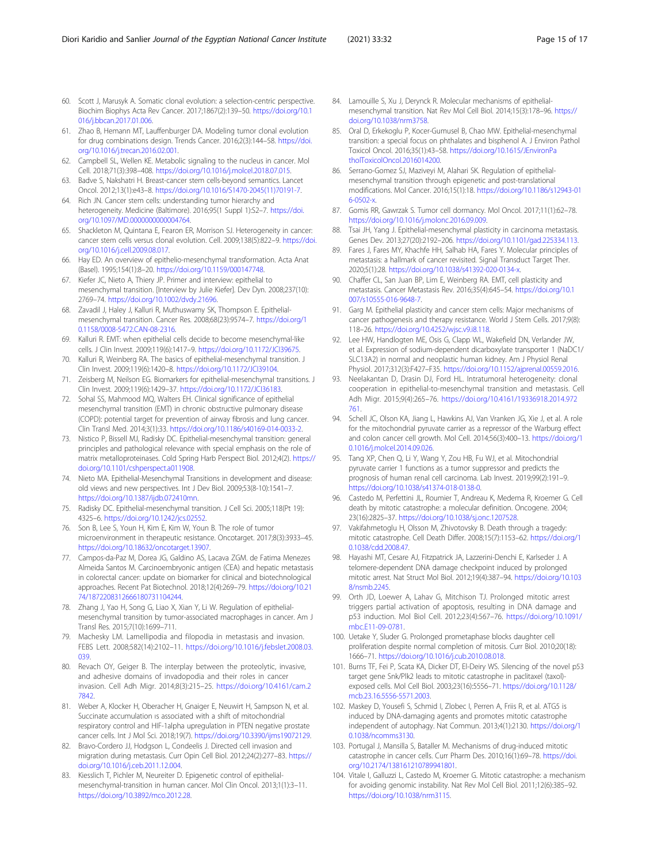- <span id="page-14-0"></span>60. Scott J, Marusyk A. Somatic clonal evolution: a selection-centric perspective. Biochim Biophys Acta Rev Cancer. 2017;1867(2):139–50. [https://doi.org/10.1](https://doi.org/10.1016/j.bbcan.2017.01.006) [016/j.bbcan.2017.01.006](https://doi.org/10.1016/j.bbcan.2017.01.006).
- 61. Zhao B, Hemann MT, Lauffenburger DA. Modeling tumor clonal evolution for drug combinations design. Trends Cancer. 2016;2(3):144–58. [https://doi.](https://doi.org/10.1016/j.trecan.2016.02.001) [org/10.1016/j.trecan.2016.02.001.](https://doi.org/10.1016/j.trecan.2016.02.001)
- 62. Campbell SL, Wellen KE. Metabolic signaling to the nucleus in cancer. Mol Cell. 2018;71(3):398–408. [https://doi.org/10.1016/j.molcel.2018.07.015.](https://doi.org/10.1016/j.molcel.2018.07.015)
- 63. Badve S, Nakshatri H. Breast-cancer stem cells-beyond semantics. Lancet Oncol. 2012;13(1):e43–8. [https://doi.org/10.1016/S1470-2045\(11\)70191-7](https://doi.org/10.1016/S1470-2045(11)70191-7).
- 64. Rich JN. Cancer stem cells: understanding tumor hierarchy and heterogeneity. Medicine (Baltimore). 2016;95(1 Suppl 1):S2–7. [https://doi.](https://doi.org/10.1097/MD.0000000000004764) [org/10.1097/MD.0000000000004764.](https://doi.org/10.1097/MD.0000000000004764)
- 65. Shackleton M, Quintana E, Fearon ER, Morrison SJ. Heterogeneity in cancer: cancer stem cells versus clonal evolution. Cell. 2009;138(5):822–9. [https://doi.](https://doi.org/10.1016/j.cell.2009.08.017) [org/10.1016/j.cell.2009.08.017](https://doi.org/10.1016/j.cell.2009.08.017).
- 66. Hay ED. An overview of epithelio-mesenchymal transformation. Acta Anat (Basel). 1995;154(1):8–20. <https://doi.org/10.1159/000147748>.
- 67. Kiefer JC, Nieto A, Thiery JP. Primer and interview: epithelial to mesenchymal transition. [Interview by Julie Kiefer]. Dev Dyn. 2008;237(10): 2769–74. [https://doi.org/10.1002/dvdy.21696.](https://doi.org/10.1002/dvdy.21696)
- 68. Zavadil J, Haley J, Kalluri R, Muthuswamy SK, Thompson E. Epithelialmesenchymal transition. Cancer Res. 2008;68(23):9574–7. [https://doi.org/1](https://doi.org/10.1158/0008-5472.CAN-08-2316) [0.1158/0008-5472.CAN-08-2316](https://doi.org/10.1158/0008-5472.CAN-08-2316).
- 69. Kalluri R. EMT: when epithelial cells decide to become mesenchymal-like cells. J Clin Invest. 2009;119(6):1417–9. <https://doi.org/10.1172/JCI39675>.
- 70. Kalluri R, Weinberg RA. The basics of epithelial-mesenchymal transition. J Clin Invest. 2009;119(6):1420–8. <https://doi.org/10.1172/JCI39104>.
- 71. Zeisberg M, Neilson EG. Biomarkers for epithelial-mesenchymal transitions. J Clin Invest. 2009;119(6):1429–37. <https://doi.org/10.1172/JCI36183>.
- 72. Sohal SS, Mahmood MQ, Walters EH. Clinical significance of epithelial mesenchymal transition (EMT) in chronic obstructive pulmonary disease (COPD): potential target for prevention of airway fibrosis and lung cancer. Clin Transl Med. 2014;3(1):33. <https://doi.org/10.1186/s40169-014-0033-2>.
- 73. Nistico P, Bissell MJ, Radisky DC. Epithelial-mesenchymal transition: general principles and pathological relevance with special emphasis on the role of matrix metalloproteinases. Cold Spring Harb Perspect Biol. 2012;4(2). [https://](https://doi.org/10.1101/cshperspect.a011908) [doi.org/10.1101/cshperspect.a011908](https://doi.org/10.1101/cshperspect.a011908).
- 74. Nieto MA. Epithelial-Mesenchymal Transitions in development and disease: old views and new perspectives. Int J Dev Biol. 2009;53(8-10):1541–7. [https://doi.org/10.1387/ijdb.072410mn.](https://doi.org/10.1387/ijdb.072410mn)
- 75. Radisky DC. Epithelial-mesenchymal transition. J Cell Sci. 2005;118(Pt 19): 4325–6. <https://doi.org/10.1242/jcs.02552>.
- 76. Son B, Lee S, Youn H, Kim E, Kim W, Youn B. The role of tumor microenvironment in therapeutic resistance. Oncotarget. 2017;8(3):3933–45. [https://doi.org/10.18632/oncotarget.13907.](https://doi.org/10.18632/oncotarget.13907)
- 77. Campos-da-Paz M, Dorea JG, Galdino AS, Lacava ZGM. de Fatima Menezes Almeida Santos M. Carcinoembryonic antigen (CEA) and hepatic metastasis in colorectal cancer: update on biomarker for clinical and biotechnological approaches. Recent Pat Biotechnol. 2018;12(4):269–79. [https://doi.org/10.21](https://doi.org/10.2174/1872208312666180731104244) [74/1872208312666180731104244](https://doi.org/10.2174/1872208312666180731104244).
- 78. Zhang J, Yao H, Song G, Liao X, Xian Y, Li W. Regulation of epithelialmesenchymal transition by tumor-associated macrophages in cancer. Am J Transl Res. 2015;7(10):1699–711.
- 79. Machesky LM. Lamellipodia and filopodia in metastasis and invasion. FEBS Lett. 2008;582(14):2102–11. [https://doi.org/10.1016/j.febslet.2008.03.](https://doi.org/10.1016/j.febslet.2008.03.039) [039](https://doi.org/10.1016/j.febslet.2008.03.039).
- 80. Revach OY, Geiger B. The interplay between the proteolytic, invasive, and adhesive domains of invadopodia and their roles in cancer invasion. Cell Adh Migr. 2014;8(3):215–25. [https://doi.org/10.4161/cam.2](https://doi.org/10.4161/cam.27842) [7842.](https://doi.org/10.4161/cam.27842)
- 81. Weber A, Klocker H, Oberacher H, Gnaiger E, Neuwirt H, Sampson N, et al. Succinate accumulation ıs associated with a shift of mitochondrial respiratory control and HIF-1alpha upregulation in PTEN negative prostate cancer cells. Int J Mol Sci. 2018;19(7). <https://doi.org/10.3390/ijms19072129>.
- 82. Bravo-Cordero JJ, Hodgson L, Condeelis J. Directed cell invasion and migration during metastasis. Curr Opin Cell Biol. 2012;24(2):277–83. [https://](https://doi.org/10.1016/j.ceb.2011.12.004) [doi.org/10.1016/j.ceb.2011.12.004.](https://doi.org/10.1016/j.ceb.2011.12.004)
- 83. Kiesslich T, Pichler M, Neureiter D. Epigenetic control of epithelialmesenchymal-transition in human cancer. Mol Clin Oncol. 2013;1(1):3–11. <https://doi.org/10.3892/mco.2012.28>.
- 84. Lamouille S, Xu J, Derynck R. Molecular mechanisms of epithelialmesenchymal transition. Nat Rev Mol Cell Biol. 2014;15(3):178–96. [https://](https://doi.org/10.1038/nrm3758) [doi.org/10.1038/nrm3758.](https://doi.org/10.1038/nrm3758)
- 85. Oral D, Erkekoglu P, Kocer-Gumusel B, Chao MW. Epithelial-mesenchymal transition: a special focus on phthalates and bisphenol A. J Environ Pathol Toxicol Oncol. 2016;35(1):43–58. [https://doi.org/10.1615/JEnvironPa](https://doi.org/10.1615/JEnvironPatholToxicolOncol.2016014200) [tholToxicolOncol.2016014200](https://doi.org/10.1615/JEnvironPatholToxicolOncol.2016014200).
- 86. Serrano-Gomez SJ, Maziveyi M, Alahari SK. Regulation of epithelialmesenchymal transition through epigenetic and post-translational modifications. Mol Cancer. 2016;15(1):18. [https://doi.org/10.1186/s12943-01](https://doi.org/10.1186/s12943-016-0502-x) [6-0502-x.](https://doi.org/10.1186/s12943-016-0502-x)
- 87. Gomis RR, Gawrzak S. Tumor cell dormancy. Mol Oncol. 2017;11(1):62–78. [https://doi.org/10.1016/j.molonc.2016.09.009.](https://doi.org/10.1016/j.molonc.2016.09.009)
- 88. Tsai JH, Yang J. Epithelial-mesenchymal plasticity in carcinoma metastasis. Genes Dev. 2013;27(20):2192–206. <https://doi.org/10.1101/gad.225334.113>.
- Fares J, Fares MY, Khachfe HH, Salhab HA, Fares Y. Molecular principles of metastasis: a hallmark of cancer revisited. Signal Transduct Target Ther. 2020;5(1):28. <https://doi.org/10.1038/s41392-020-0134-x>.
- 90. Chaffer CL, San Juan BP, Lim E, Weinberg RA. EMT, cell plasticity and metastasis. Cancer Metastasis Rev. 2016;35(4):645–54. [https://doi.org/10.1](https://doi.org/10.1007/s10555-016-9648-7) [007/s10555-016-9648-7.](https://doi.org/10.1007/s10555-016-9648-7)
- 91. Garg M. Epithelial plasticity and cancer stem cells: Major mechanisms of cancer pathogenesis and therapy resistance. World J Stem Cells. 2017;9(8): 118–26. <https://doi.org/10.4252/wjsc.v9.i8.118>.
- 92. Lee HW, Handlogten ME, Osis G, Clapp WL, Wakefield DN, Verlander JW, et al. Expression of sodium-dependent dicarboxylate transporter 1 (NaDC1/ SLC13A2) in normal and neoplastic human kidney. Am J Physiol Renal Physiol. 2017;312(3):F427–F35. [https://doi.org/10.1152/ajprenal.00559.2016.](https://doi.org/10.1152/ajprenal.00559.2016)
- Neelakantan D, Drasin DJ, Ford HL. Intratumoral heterogeneity: clonal cooperation in epithelial-to-mesenchymal transition and metastasis. Cell Adh Migr. 2015;9(4):265–76. [https://doi.org/10.4161/19336918.2014.972](https://doi.org/10.4161/19336918.2014.972761) [761](https://doi.org/10.4161/19336918.2014.972761).
- 94. Schell JC, Olson KA, Jiang L, Hawkins AJ, Van Vranken JG, Xie J, et al. A role for the mitochondrial pyruvate carrier as a repressor of the Warburg effect and colon cancer cell growth. Mol Cell. 2014;56(3):400–13. [https://doi.org/1](https://doi.org/10.1016/j.molcel.2014.09.026) [0.1016/j.molcel.2014.09.026](https://doi.org/10.1016/j.molcel.2014.09.026).
- 95. Tang XP, Chen Q, Li Y, Wang Y, Zou HB, Fu WJ, et al. Mitochondrial pyruvate carrier 1 functions as a tumor suppressor and predicts the prognosis of human renal cell carcinoma. Lab Invest. 2019;99(2):191–9. <https://doi.org/10.1038/s41374-018-0138-0>.
- 96. Castedo M, Perfettini JL, Roumier T, Andreau K, Medema R, Kroemer G. Cell death by mitotic catastrophe: a molecular definition. Oncogene. 2004; 23(16):2825–37. [https://doi.org/10.1038/sj.onc.1207528.](https://doi.org/10.1038/sj.onc.1207528)
- 97. Vakifahmetoglu H, Olsson M, Zhivotovsky B. Death through a tragedy: mitotic catastrophe. Cell Death Differ. 2008;15(7):1153–62. [https://doi.org/1](https://doi.org/10.1038/cdd.2008.47) [0.1038/cdd.2008.47](https://doi.org/10.1038/cdd.2008.47).
- Hayashi MT, Cesare AJ, Fitzpatrick JA, Lazzerini-Denchi E, Karlseder J. A telomere-dependent DNA damage checkpoint induced by prolonged mitotic arrest. Nat Struct Mol Biol. 2012;19(4):387–94. [https://doi.org/10.103](https://doi.org/10.1038/nsmb.2245) [8/nsmb.2245](https://doi.org/10.1038/nsmb.2245).
- 99. Orth JD, Loewer A, Lahav G, Mitchison TJ. Prolonged mitotic arrest triggers partial activation of apoptosis, resulting in DNA damage and p53 induction. Mol Biol Cell. 2012;23(4):567–76. [https://doi.org/10.1091/](https://doi.org/10.1091/mbc.E11-09-0781) [mbc.E11-09-0781.](https://doi.org/10.1091/mbc.E11-09-0781)
- 100. Uetake Y, Sluder G. Prolonged prometaphase blocks daughter cell proliferation despite normal completion of mitosis. Curr Biol. 2010;20(18): 1666–71. [https://doi.org/10.1016/j.cub.2010.08.018.](https://doi.org/10.1016/j.cub.2010.08.018)
- 101. Burns TF, Fei P, Scata KA, Dicker DT, El-Deiry WS. Silencing of the novel p53 target gene Snk/Plk2 leads to mitotic catastrophe in paclitaxel (taxol) exposed cells. Mol Cell Biol. 2003;23(16):5556–71. [https://doi.org/10.1128/](https://doi.org/10.1128/mcb.23.16.5556-5571.2003) [mcb.23.16.5556-5571.2003.](https://doi.org/10.1128/mcb.23.16.5556-5571.2003)
- 102. Maskey D, Yousefi S, Schmid I, Zlobec I, Perren A, Friis R, et al. ATG5 is induced by DNA-damaging agents and promotes mitotic catastrophe independent of autophagy. Nat Commun. 2013;4(1):2130. [https://doi.org/1](https://doi.org/10.1038/ncomms3130) [0.1038/ncomms3130.](https://doi.org/10.1038/ncomms3130)
- 103. Portugal J, Mansilla S, Bataller M. Mechanisms of drug-induced mitotic catastrophe in cancer cells. Curr Pharm Des. 2010;16(1):69–78. [https://doi.](https://doi.org/10.2174/138161210789941801) [org/10.2174/138161210789941801](https://doi.org/10.2174/138161210789941801).
- 104. Vitale I, Galluzzi L, Castedo M, Kroemer G. Mitotic catastrophe: a mechanism for avoiding genomic instability. Nat Rev Mol Cell Biol. 2011;12(6):385–92. <https://doi.org/10.1038/nrm3115>.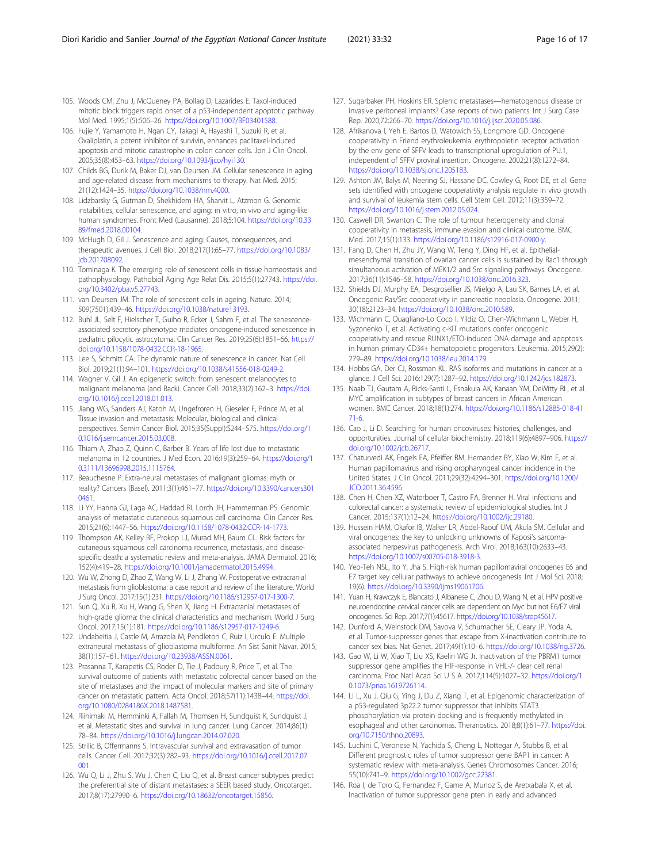- <span id="page-15-0"></span>105. Woods CM, Zhu J, McQueney PA, Bollag D, Lazarides E. Taxol-induced mitotic block triggers rapid onset of a p53-independent apoptotic pathway. Mol Med. 1995;1(5):506–26. [https://doi.org/10.1007/BF03401588.](https://doi.org/10.1007/BF03401588)
- 106. Fujie Y, Yamamoto H, Ngan CY, Takagi A, Hayashi T, Suzuki R, et al. Oxaliplatin, a potent inhibitor of survivin, enhances paclitaxel-induced apoptosis and mitotic catastrophe in colon cancer cells. Jpn J Clin Oncol. 2005;35(8):453–63. [https://doi.org/10.1093/jjco/hyi130.](https://doi.org/10.1093/jjco/hyi130)
- 107. Childs BG, Durik M, Baker DJ, van Deursen JM. Cellular senescence in aging and age-related disease: from mechanisms to therapy. Nat Med. 2015; 21(12):1424–35. <https://doi.org/10.1038/nm.4000>.
- 108. Lidzbarsky G, Gutman D, Shekhidem HA, Sharvit L, Atzmon G. Genomic ınstabilities, cellular senescence, and aging: ın vitro, ın vivo and aging-like human syndromes. Front Med (Lausanne). 2018;5:104. [https://doi.org/10.33](https://doi.org/10.3389/fmed.2018.00104) [89/fmed.2018.00104.](https://doi.org/10.3389/fmed.2018.00104)
- 109. McHugh D, Gil J. Senescence and aging: Causes, consequences, and therapeutic avenues. J Cell Biol. 2018;217(1):65–77. [https://doi.org/10.1083/](https://doi.org/10.1083/jcb.201708092) ich.201708092
- 110. Tominaga K. The emerging role of senescent cells in tissue homeostasis and pathophysiology. Pathobiol Aging Age Relat Dis. 2015;5(1):27743. [https://doi.](https://doi.org/10.3402/pba.v5.27743) [org/10.3402/pba.v5.27743.](https://doi.org/10.3402/pba.v5.27743)
- 111. van Deursen JM. The role of senescent cells in ageing. Nature. 2014; 509(7501):439–46. <https://doi.org/10.1038/nature13193>.
- 112. Buhl JL, Selt F, Hielscher T, Guiho R, Ecker J, Sahm F, et al. The senescenceassociated secretory phenotype mediates oncogene-induced senescence in pediatric pilocytic astrocytoma. Clin Cancer Res. 2019;25(6):1851–66. [https://](https://doi.org/10.1158/1078-0432.CCR-18-1965) [doi.org/10.1158/1078-0432.CCR-18-1965](https://doi.org/10.1158/1078-0432.CCR-18-1965).
- 113. Lee S, Schmitt CA. The dynamic nature of senescence in cancer. Nat Cell Biol. 2019;21(1):94–101. [https://doi.org/10.1038/s41556-018-0249-2.](https://doi.org/10.1038/s41556-018-0249-2)
- 114. Wagner V, Gil J. An epigenetic switch: from senescent melanocytes to malignant melanoma (and Back). Cancer Cell. 2018;33(2):162–3. [https://doi.](https://doi.org/10.1016/j.ccell.2018.01.013) [org/10.1016/j.ccell.2018.01.013.](https://doi.org/10.1016/j.ccell.2018.01.013)
- 115. Jiang WG, Sanders AJ, Katoh M, Ungefroren H, Gieseler F, Prince M, et al. Tissue invasion and metastasis: Molecular, biological and clinical perspectives. Semin Cancer Biol. 2015;35(Suppl):S244–S75. [https://doi.org/1](https://doi.org/10.1016/j.semcancer.2015.03.008) [0.1016/j.semcancer.2015.03.008.](https://doi.org/10.1016/j.semcancer.2015.03.008)
- 116. Thiam A, Zhao Z, Quinn C, Barber B. Years of life lost due to metastatic melanoma in 12 countries. J Med Econ. 2016;19(3):259–64. [https://doi.org/1](https://doi.org/10.3111/13696998.2015.1115764) [0.3111/13696998.2015.1115764.](https://doi.org/10.3111/13696998.2015.1115764)
- 117. Beauchesne P. Extra-neural metastases of malignant gliomas: myth or reality? Cancers (Basel). 2011;3(1):461–77. [https://doi.org/10.3390/cancers301](https://doi.org/10.3390/cancers3010461) [0461](https://doi.org/10.3390/cancers3010461).
- 118. Li YY, Hanna GJ, Laga AC, Haddad RI, Lorch JH, Hammerman PS. Genomic analysis of metastatic cutaneous squamous cell carcinoma. Clin Cancer Res. 2015;21(6):1447–56. [https://doi.org/10.1158/1078-0432.CCR-14-1773.](https://doi.org/10.1158/1078-0432.CCR-14-1773)
- 119. Thompson AK, Kelley BF, Prokop LJ, Murad MH, Baum CL. Risk factors for cutaneous squamous cell carcinoma recurrence, metastasis, and diseasespecific death: a systematic review and meta-analysis. JAMA Dermatol. 2016; 152(4):419–28. <https://doi.org/10.1001/jamadermatol.2015.4994>.
- 120. Wu W, Zhong D, Zhao Z, Wang W, Li J, Zhang W. Postoperative extracranial metastasis from glioblastoma: a case report and review of the literature. World J Surg Oncol. 2017;15(1):231. [https://doi.org/10.1186/s12957-017-1300-7.](https://doi.org/10.1186/s12957-017-1300-7)
- 121. Sun Q, Xu R, Xu H, Wang G, Shen X, Jiang H. Extracranial metastases of high-grade glioma: the clinical characteristics and mechanism. World J Surg Oncol. 2017;15(1):181. [https://doi.org/10.1186/s12957-017-1249-6.](https://doi.org/10.1186/s12957-017-1249-6)
- 122. Undabeitia J, Castle M, Arrazola M, Pendleton C, Ruiz I, Urculo E. Multiple extraneural metastasis of glioblastoma multiforme. An Sist Sanit Navar. 2015; 38(1):157–61. <https://doi.org/10.23938/ASSN.0061>.
- 123. Prasanna T, Karapetis CS, Roder D, Tie J, Padbury R, Price T, et al. The survival outcome of patients with metastatic colorectal cancer based on the site of metastases and the impact of molecular markers and site of primary cancer on metastatic pattern. Acta Oncol. 2018;57(11):1438–44. [https://doi.](https://doi.org/10.1080/0284186X.2018.1487581) [org/10.1080/0284186X.2018.1487581.](https://doi.org/10.1080/0284186X.2018.1487581)
- 124. Riihimaki M, Hemminki A, Fallah M, Thomsen H, Sundquist K, Sundquist J, et al. Metastatic sites and survival in lung cancer. Lung Cancer. 2014;86(1): 78–84. <https://doi.org/10.1016/j.lungcan.2014.07.020>.
- 125. Strilic B, Offermanns S. Intravascular survival and extravasation of tumor cells. Cancer Cell. 2017;32(3):282–93. [https://doi.org/10.1016/j.ccell.2017.07.](https://doi.org/10.1016/j.ccell.2017.07.001) [001.](https://doi.org/10.1016/j.ccell.2017.07.001)
- 126. Wu Q, Li J, Zhu S, Wu J, Chen C, Liu Q, et al. Breast cancer subtypes predict the preferential site of distant metastases: a SEER based study. Oncotarget. 2017;8(17):27990–6. <https://doi.org/10.18632/oncotarget.15856>.
- 127. Sugarbaker PH, Hoskins ER. Splenic metastases—hematogenous disease or invasive peritoneal implants? Case reports of two patients. Int J Surg Case Rep. 2020;72:266–70. [https://doi.org/10.1016/j.ijscr.2020.05.086.](https://doi.org/10.1016/j.ijscr.2020.05.086)
- 128. Afrikanova I, Yeh E, Bartos D, Watowich SS, Longmore GD. Oncogene cooperativity in Friend erythroleukemia: erythropoietin receptor activation by the env gene of SFFV leads to transcriptional upregulation of PU.1, independent of SFFV proviral insertion. Oncogene. 2002;21(8):1272–84. [https://doi.org/10.1038/sj.onc.1205183.](https://doi.org/10.1038/sj.onc.1205183)
- 129. Ashton JM, Balys M, Neering SJ, Hassane DC, Cowley G, Root DE, et al. Gene sets identified with oncogene cooperativity analysis regulate in vivo growth and survival of leukemia stem cells. Cell Stem Cell. 2012;11(3):359–72. [https://doi.org/10.1016/j.stem.2012.05.024.](https://doi.org/10.1016/j.stem.2012.05.024)
- 130. Caswell DR, Swanton C. The role of tumour heterogeneity and clonal cooperativity in metastasis, immune evasion and clinical outcome. BMC Med. 2017;15(1):133. <https://doi.org/10.1186/s12916-017-0900-y>.
- 131. Fang D, Chen H, Zhu JY, Wang W, Teng Y, Ding HF, et al. Epithelialmesenchymal transition of ovarian cancer cells is sustained by Rac1 through simultaneous activation of MEK1/2 and Src signaling pathways. Oncogene. 2017;36(11):1546–58. [https://doi.org/10.1038/onc.2016.323.](https://doi.org/10.1038/onc.2016.323)
- 132. Shields DJ, Murphy EA, Desgrosellier JS, Mielgo A, Lau SK, Barnes LA, et al. Oncogenic Ras/Src cooperativity in pancreatic neoplasia. Oncogene. 2011; 30(18):2123–34. [https://doi.org/10.1038/onc.2010.589.](https://doi.org/10.1038/onc.2010.589)
- 133. Wichmann C, Quagliano-Lo Coco I, Yildiz O, Chen-Wichmann L, Weber H, Syzonenko T, et al. Activating c-KIT mutations confer oncogenic cooperativity and rescue RUNX1/ETO-induced DNA damage and apoptosis in human primary CD34+ hematopoietic progenitors. Leukemia. 2015;29(2): 279–89. [https://doi.org/10.1038/leu.2014.179.](https://doi.org/10.1038/leu.2014.179)
- 134. Hobbs GA, Der CJ, Rossman KL. RAS isoforms and mutations in cancer at a glance. J Cell Sci. 2016;129(7):1287–92. <https://doi.org/10.1242/jcs.182873>.
- 135. Naab TJ, Gautam A, Ricks-Santi L, Esnakula AK, Kanaan YM, DeWitty RL, et al. MYC amplification in subtypes of breast cancers in African American women. BMC Cancer. 2018;18(1):274. [https://doi.org/10.1186/s12885-018-41](https://doi.org/10.1186/s12885-018-4171-6) [71-6](https://doi.org/10.1186/s12885-018-4171-6).
- 136. Cao J, Li D. Searching for human oncoviruses: histories, challenges, and opportunities. Journal of cellular biochemistry. 2018;119(6):4897–906. [https://](https://doi.org/10.1002/jcb.26717) [doi.org/10.1002/jcb.26717.](https://doi.org/10.1002/jcb.26717)
- 137. Chaturvedi AK, Engels EA, Pfeiffer RM, Hernandez BY, Xiao W, Kim E, et al. Human papillomavirus and rising oropharyngeal cancer incidence in the United States. J Clin Oncol. 2011;29(32):4294–301. [https://doi.org/10.1200/](https://doi.org/10.1200/JCO.2011.36.4596) [JCO.2011.36.4596.](https://doi.org/10.1200/JCO.2011.36.4596)
- 138. Chen H, Chen XZ, Waterboer T, Castro FA, Brenner H. Viral infections and colorectal cancer: a systematic review of epidemiological studies. Int J Cancer. 2015;137(1):12–24. <https://doi.org/10.1002/ijc.29180>.
- 139. Hussein HAM, Okafor IB, Walker LR, Abdel-Raouf UM, Akula SM. Cellular and viral oncogenes: the key to unlocking unknowns of Kaposi's sarcomaassociated herpesvirus pathogenesis. Arch Virol. 2018;163(10):2633–43. <https://doi.org/10.1007/s00705-018-3918-3>.
- 140. Yeo-Teh NSL, Ito Y, Jha S. High-risk human papillomaviral oncogenes E6 and E7 target key cellular pathways to achieve oncogenesis. Int J Mol Sci. 2018; 19(6). [https://doi.org/10.3390/ijms19061706.](https://doi.org/10.3390/ijms19061706)
- 141. Yuan H, Krawczyk E, Blancato J, Albanese C, Zhou D, Wang N, et al. HPV positive neuroendocrine cervical cancer cells are dependent on Myc but not E6/E7 viral oncogenes. Sci Rep. 2017;7(1):45617. [https://doi.org/10.1038/srep45617.](https://doi.org/10.1038/srep45617)
- 142. Dunford A, Weinstock DM, Savova V, Schumacher SE, Cleary JP, Yoda A, et al. Tumor-suppressor genes that escape from X-inactivation contribute to cancer sex bias. Nat Genet. 2017;49(1):10–6. <https://doi.org/10.1038/ng.3726>.
- 143. Gao W, Li W, Xiao T, Liu XS, Kaelin WG Jr. Inactivation of the PBRM1 tumor suppressor gene amplifies the HIF-response in VHL-/- clear cell renal carcinoma. Proc Natl Acad Sci U S A. 2017;114(5):1027–32. [https://doi.org/1](https://doi.org/10.1073/pnas.1619726114) [0.1073/pnas.1619726114](https://doi.org/10.1073/pnas.1619726114).
- 144. Li L, Xu J, Qiu G, Ying J, Du Z, Xiang T, et al. Epigenomic characterization of a p53-regulated 3p22.2 tumor suppressor that inhibits STAT3 phosphorylation via protein docking and is frequently methylated in esophageal and other carcinomas. Theranostics. 2018;8(1):61–77. [https://doi.](https://doi.org/10.7150/thno.20893) [org/10.7150/thno.20893.](https://doi.org/10.7150/thno.20893)
- 145. Luchini C, Veronese N, Yachida S, Cheng L, Nottegar A, Stubbs B, et al. Different prognostic roles of tumor suppressor gene BAP1 in cancer: A systematic review with meta-analysis. Genes Chromosomes Cancer. 2016; 55(10):741–9. <https://doi.org/10.1002/gcc.22381>.
- 146. Roa I, de Toro G, Fernandez F, Game A, Munoz S, de Aretxabala X, et al. Inactivation of tumor suppressor gene pten in early and advanced